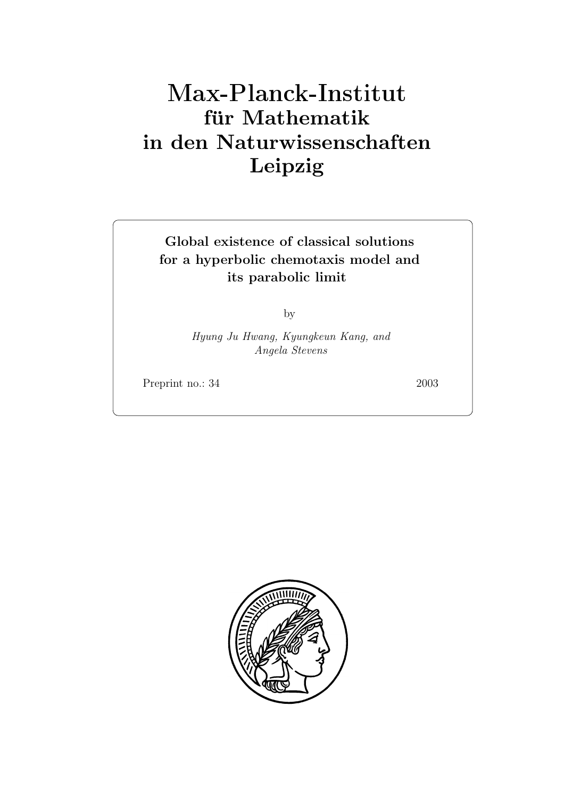# **für Mathematik in den Naturwissenschaften Leipzig**

**Global existence of classical solutions for a hyperbolic chemotaxis model and its parabolic limit**

by

*Hyung Ju Hwang, Kyungkeun Kang, and Angela Stevens*

Preprint no.: 34 2003

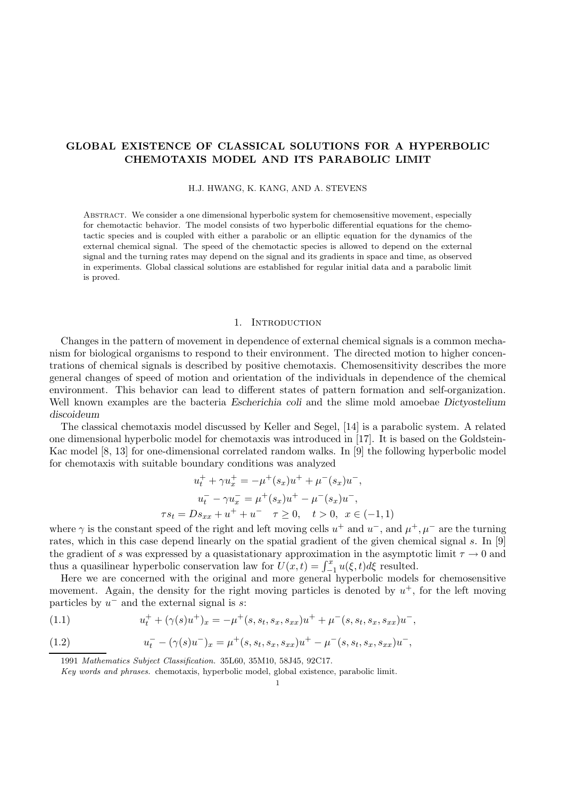## **GLOBAL EXISTENCE OF CLASSICAL SOLUTIONS FOR A HYPERBOLIC CHEMOTAXIS MODEL AND ITS PARABOLIC LIMIT**

### H.J. HWANG, K. KANG, AND A. STEVENS

Abstract. We consider a one dimensional hyperbolic system for chemosensitive movement, especially for chemotactic behavior. The model consists of two hyperbolic differential equations for the chemotactic species and is coupled with either a parabolic or an elliptic equation for the dynamics of the external chemical signal. The speed of the chemotactic species is allowed to depend on the external signal and the turning rates may depend on the signal and its gradients in space and time, as observed in experiments. Global classical solutions are established for regular initial data and a parabolic limit is proved.

## 1. INTRODUCTION

Changes in the pattern of movement in dependence of external chemical signals is a common mechanism for biological organisms to respond to their environment. The directed motion to higher concentrations of chemical signals is described by positive chemotaxis. Chemosensitivity describes the more general changes of speed of motion and orientation of the individuals in dependence of the chemical environment. This behavior can lead to different states of pattern formation and self-organization. Well known examples are the bacteria *Escherichia coli* and the slime mold amoebae *Dictyostelium discoideum*

The classical chemotaxis model discussed by Keller and Segel, [14] is a parabolic system. A related one dimensional hyperbolic model for chemotaxis was introduced in [17]. It is based on the Goldstein-Kac model [8, 13] for one-dimensional correlated random walks. In [9] the following hyperbolic model for chemotaxis with suitable boundary conditions was analyzed

$$
u_t^+ + \gamma u_x^+ = -\mu^+(s_x)u^+ + \mu^-(s_x)u^-,
$$
  
\n
$$
u_t^- - \gamma u_x^- = \mu^+(s_x)u^+ - \mu^-(s_x)u^-,
$$
  
\n
$$
\tau s_t = Ds_{xx} + u^+ + u^- \quad \tau \ge 0, \quad t > 0, \quad x \in (-1, 1)
$$

where  $\gamma$  is the constant speed of the right and left moving cells  $u^+$  and  $u^-$ , and  $\mu^+$ ,  $\mu^-$  are the turning rates, which in this case depend linearly on the spatial gradient of the given chemical signal s. In [9] the gradient of s was expressed by a quasistationary approximation in the asymptotic limit  $\tau \to 0$  and thus a quasilinear hyperbolic conservation law for  $U(x,t) = \int_{-1}^{x} u(\xi, t) d\xi$  resulted.

Here we are concerned with the original and more general hyperbolic models for chemosensitive movement. Again, the density for the right moving particles is denoted by  $u^+$ , for the left moving particles by  $u^-$  and the external signal is s:

(1.1) 
$$
u_t^+ + (\gamma(s)u^+)_x = -\mu^+(s, s_t, s_x, s_{xx})u^+ + \mu^-(s, s_t, s_x, s_{xx})u^-,
$$

(1.2) 
$$
u_t^- - (\gamma(s)u^-)_x = \mu^+(s, s_t, s_x, s_{xx})u^+ - \mu^-(s, s_t, s_x, s_{xx})u^-,
$$

1991 Mathematics Subject Classification. 35L60, 35M10, 58J45, 92C17.

Key words and phrases. chemotaxis, hyperbolic model, global existence, parabolic limit.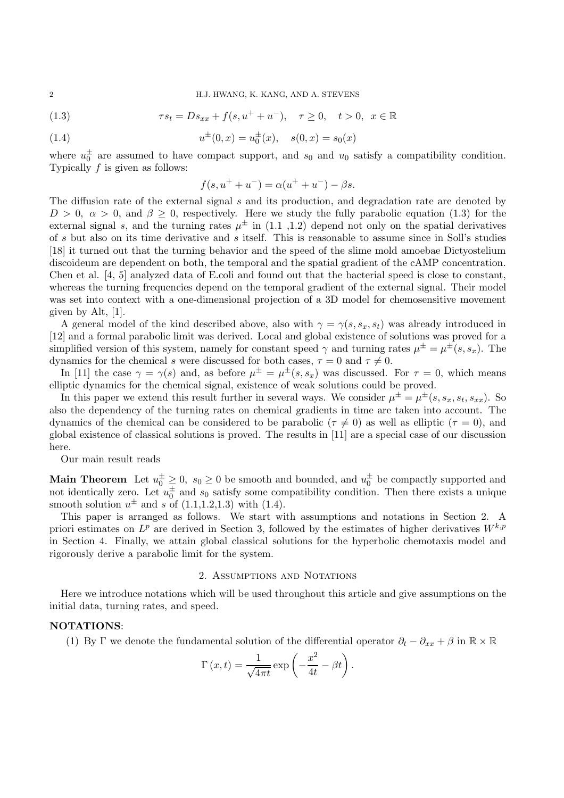(1.3) 
$$
\tau s_t = D s_{xx} + f(s, u^+ + u^-), \quad \tau \ge 0, \quad t > 0, \quad x \in \mathbb{R}
$$

(1.4) 
$$
u^{\pm}(0,x) = u_0^{\pm}(x), \quad s(0,x) = s_0(x)
$$

where  $u_0^{\pm}$  are assumed to have compact support, and  $s_0$  and  $u_0$  satisfy a compatibility condition. Typically f is given as follows:

$$
f(s, u^{+} + u^{-}) = \alpha(u^{+} + u^{-}) - \beta s.
$$

The diffusion rate of the external signal s and its production, and degradation rate are denoted by  $D > 0$ ,  $\alpha > 0$ , and  $\beta \geq 0$ , respectively. Here we study the fully parabolic equation (1.3) for the external signal s, and the turning rates  $\mu^{\pm}$  in (1.1, 1.2) depend not only on the spatial derivatives of s but also on its time derivative and s itself. This is reasonable to assume since in Soll's studies [18] it turned out that the turning behavior and the speed of the slime mold amoebae Dictyostelium discoideum are dependent on both, the temporal and the spatial gradient of the cAMP concentration. Chen et al. [4, 5] analyzed data of E.coli and found out that the bacterial speed is close to constant, whereas the turning frequencies depend on the temporal gradient of the external signal. Their model was set into context with a one-dimensional projection of a 3D model for chemosensitive movement given by Alt, [1].

A general model of the kind described above, also with  $\gamma = \gamma(s, s_x, s_t)$  was already introduced in [12] and a formal parabolic limit was derived. Local and global existence of solutions was proved for a simplified version of this system, namely for constant speed  $\gamma$  and turning rates  $\mu^{\pm} = \mu^{\pm}(s, s_x)$ . The dynamics for the chemical s were discussed for both cases,  $\tau = 0$  and  $\tau \neq 0$ .

In [11] the case  $\gamma = \gamma(s)$  and, as before  $\mu^{\pm} = \mu^{\pm}(s, s_x)$  was discussed. For  $\tau = 0$ , which means elliptic dynamics for the chemical signal, existence of weak solutions could be proved.

In this paper we extend this result further in several ways. We consider  $\mu^{\pm} = \mu^{\pm}(s, s_x, s_t, s_{xx})$ . So also the dependency of the turning rates on chemical gradients in time are taken into account. The dynamics of the chemical can be considered to be parabolic ( $\tau \neq 0$ ) as well as elliptic ( $\tau = 0$ ), and global existence of classical solutions is proved. The results in [11] are a special case of our discussion here.

Our main result reads

**Main Theorem** Let  $u_0^{\pm} \geq 0$ ,  $s_0 \geq 0$  be smooth and bounded, and  $u_0^{\pm}$  be compactly supported and not identically zero. Let  $u_0^{\pm}$  and  $s_0$  satisfy some compatibility condition. Then there exists a unique smooth solution  $u^{\pm}$  and s of (1.1,1.2,1.3) with (1.4).

This paper is arranged as follows. We start with assumptions and notations in Section 2. A priori estimates on  $L^p$  are derived in Section 3, followed by the estimates of higher derivatives  $W^{k,p}$ in Section 4. Finally, we attain global classical solutions for the hyperbolic chemotaxis model and rigorously derive a parabolic limit for the system.

## 2. Assumptions and Notations

Here we introduce notations which will be used throughout this article and give assumptions on the initial data, turning rates, and speed.

## **NOTATIONS**:

(1) By Γ we denote the fundamental solution of the differential operator  $\partial_t - \partial_{xx} + \beta$  in  $\mathbb{R} \times \mathbb{R}$ 

$$
\Gamma(x,t) = \frac{1}{\sqrt{4\pi t}} \exp\left(-\frac{x^2}{4t} - \beta t\right).
$$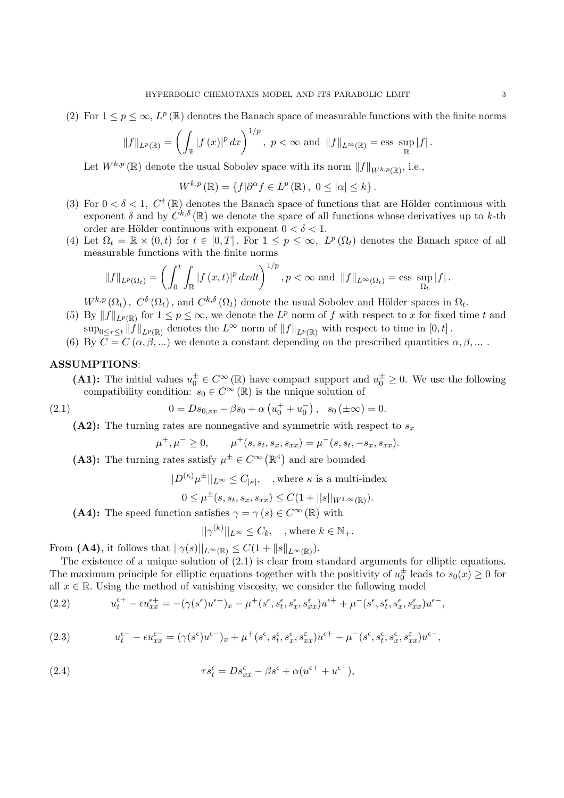(2) For  $1 \leq p \leq \infty$ ,  $L^p(\mathbb{R})$  denotes the Banach space of measurable functions with the finite norms

$$
||f||_{L^p(\mathbb{R})} = \left(\int_{\mathbb{R}} |f(x)|^p dx\right)^{1/p}, \ p < \infty \ \text{and} \ ||f||_{L^{\infty}(\mathbb{R})} = \text{ess} \ \sup_{\mathbb{R}} |f|.
$$

Let  $W^{k,p}(\mathbb{R})$  denote the usual Sobolev space with its norm  $||f||_{W^{k,p}(\mathbb{R})}$ , i.e.,

$$
W^{k,p}(\mathbb{R}) = \{ f | \partial^{\alpha} f \in L^p(\mathbb{R}), \ 0 \leq |\alpha| \leq k \}.
$$

- (3) For  $0 < \delta < 1$ ,  $C^{\delta}(\mathbb{R})$  denotes the Banach space of functions that are Hölder continuous with exponent  $\delta$  and by  $C^{k,\delta}(\mathbb{R})$  we denote the space of all functions whose derivatives up to k-th order are Hölder continuous with exponent  $0 < \delta < 1$ .
- (4) Let  $\Omega_t = \mathbb{R} \times (0,t)$  for  $t \in [0,T]$ . For  $1 \leq p \leq \infty$ ,  $L^p(\Omega_t)$  denotes the Banach space of all measurable functions with the finite norms

$$
\|f\|_{L^p(\Omega_t)} = \left(\int_0^t \int_{\mathbb{R}} |f(x,t)|^p dxdt\right)^{1/p}, p < \infty \text{ and } \|f\|_{L^{\infty}(\Omega_t)} = \text{ess} \sup_{\Omega_t} |f|.
$$

 $W^{k,p}(\Omega_t)$ ,  $C^{\delta}(\Omega_t)$ , and  $C^{k,\delta}(\Omega_t)$  denote the usual Sobolev and Hölder spaces in  $\Omega_t$ .

- (5) By  $||f||_{L^p(\mathbb{R})}$  for  $1 \leq p \leq \infty$ , we denote the  $L^p$  norm of f with respect to x for fixed time t and  $\sup_{0\leq\tau\leq t}||f||_{L^p(\mathbb{R})}$  denotes the  $L^{\infty}$  norm of  $||f||_{L^p(\mathbb{R})}$  with respect to time in  $[0, t]$ .
- (6) By  $C = C(\alpha, \beta, ...)$  we denote a constant depending on the prescribed quantities  $\alpha, \beta, ...$ .

## **ASSUMPTIONS**:

**(A1):** The initial values  $u_0^{\pm} \in C^{\infty}(\mathbb{R})$  have compact support and  $u_0^{\pm} \geq 0$ . We use the following compatibility condition:  $s_0 \in C^\infty(\mathbb{R})$  is the unique solution of

(2.1) 
$$
0 = Ds_{0,xx} - \beta s_0 + \alpha \left( u_0^+ + u_0^- \right), \quad s_0 \left( \pm \infty \right) = 0.
$$

**(A2):** The turning rates are nonnegative and symmetric with respect to  $s_x$ 

$$
\mu^+, \mu^- \ge 0
$$
,  $\mu^+(s, s_t, s_x, s_{xx}) = \mu^-(s, s_t, -s_x, s_{xx})$ .

(A3): The turning rates satisfy  $\mu^{\pm} \in C^{\infty}(\mathbb{R}^{4})$  and are bounded

$$
||D^{(\kappa)} \mu^{\pm}||_{L^{\infty}} \leq C_{|\kappa|}, \quad , \text{where } \kappa \text{ is a multi-index}
$$

$$
0 \leq \mu^{\pm}(s, s_t, s_x, s_{xx}) \leq C(1 + ||s||_{W^{1,\infty}(\mathbb{R})}).
$$

**(A4):** The speed function satisfies  $\gamma = \gamma(s) \in C^{\infty}(\mathbb{R})$  with

$$
||\gamma^{(k)}||_{L^{\infty}} \leq C_k, \quad , \text{where } k \in \mathbb{N}_+.
$$

From **(A4)**, it follows that  $||\gamma(s)||_{L^{\infty}(\mathbb{R})} \leq C(1 + ||s||_{L^{\infty}(\mathbb{R})}).$ 

The existence of a unique solution of  $(2.1)$  is clear from standard arguments for elliptic equations. The maximum principle for elliptic equations together with the positivity of  $u_0^{\pm}$  leads to  $s_0(x) \ge 0$  for all  $x \in \mathbb{R}$ . Using the method of vanishing viscosity, we consider the following model

(2.2) 
$$
u_t^{\epsilon+} - \epsilon u_{xx}^{\epsilon+} = -(\gamma(s^{\epsilon})u^{\epsilon+})_x - \mu^+(s^{\epsilon}, s_t^{\epsilon}, s_x^{\epsilon}, s_{xx}^{\epsilon})u^{\epsilon+} + \mu^-(s^{\epsilon}, s_t^{\epsilon}, s_x^{\epsilon}, s_{xx}^{\epsilon})u^{\epsilon-},
$$

(2.3) 
$$
u_t^{\epsilon-} - \epsilon u_{xx}^{\epsilon-} = (\gamma(s^{\epsilon})u^{\epsilon-})_x + \mu^+(s^{\epsilon}, s_t^{\epsilon}, s_x^{\epsilon}, s_{xx}^{\epsilon})u^{\epsilon+} - \mu^-(s^{\epsilon}, s_t^{\epsilon}, s_x^{\epsilon}, s_{xx}^{\epsilon})u^{\epsilon-},
$$

(2.4) 
$$
\tau s_t^{\epsilon} = D s_{xx}^{\epsilon} - \beta s^{\epsilon} + \alpha (u^{\epsilon+} + u^{\epsilon-}),
$$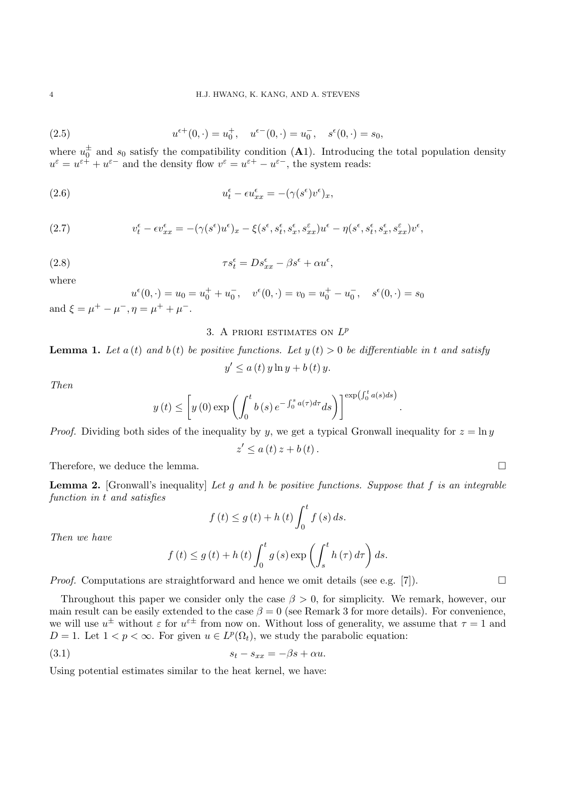(2.5) 
$$
u^{\epsilon+}(0,\cdot) = u_0^+, \quad u^{\epsilon-}(0,\cdot) = u_0^-, \quad s^{\epsilon}(0,\cdot) = s_0,
$$

where  $u_0^{\pm}$  and  $s_0$  satisfy the compatibility condition (A1). Introducing the total population density  $u^{\varepsilon} = u^{\varepsilon+} + u^{\varepsilon-}$  and the density flow  $v^{\varepsilon} = u^{\varepsilon+} - u^{\varepsilon-}$ , the system reads:

(2.6) 
$$
u_t^{\epsilon} - \epsilon u_{xx}^{\epsilon} = -(\gamma(s^{\epsilon})v^{\epsilon})_x,
$$

(2.7) 
$$
v_t^{\epsilon} - \epsilon v_{xx}^{\epsilon} = -(\gamma(s^{\epsilon})u^{\epsilon})_x - \xi(s^{\epsilon}, s_t^{\epsilon}, s_x^{\epsilon}, s_{xx}^{\epsilon})u^{\epsilon} - \eta(s^{\epsilon}, s_t^{\epsilon}, s_x^{\epsilon}, s_{xx}^{\epsilon})v^{\epsilon},
$$

(2.8) 
$$
\tau s_t^{\epsilon} = D s_{xx}^{\epsilon} - \beta s^{\epsilon} + \alpha u^{\epsilon},
$$

where

$$
u^{\epsilon}(0, \cdot) = u_0 = u_0^+ + u_0^-, \quad v^{\epsilon}(0, \cdot) = v_0 = u_0^+ - u_0^-, \quad s^{\epsilon}(0, \cdot) = s_0
$$
  
and  $\xi = \mu^+ - \mu^-, \eta = \mu^+ + \mu^-.$ 

## 3. A PRIORI ESTIMATES ON  $L^p$

# **Lemma 1.** Let  $a(t)$  and  $b(t)$  be positive functions. Let  $y(t) > 0$  be differentiable in t and satisfy  $y' \le a(t) y \ln y + b(t) y.$

*Then*

$$
y(t) \le \left[ y(0) \exp \left( \int_0^t b(s) e^{-\int_0^s a(\tau) d\tau} ds \right) \right] \exp\left( \int_0^t a(s) ds \right)
$$

*Proof.* Dividing both sides of the inequality by y, we get a typical Gronwall inequality for  $z = \ln y$ 

$$
z' \le a(t) z + b(t).
$$

Therefore, we deduce the lemma.

**Lemma 2.** [Gronwall's inequality] *Let* g *and* h *be positive functions. Suppose that* f *is an integrable function in* t *and satisfies*

$$
f(t) \le g(t) + h(t) \int_0^t f(s) ds.
$$

*Then we have*

$$
f(t) \le g(t) + h(t) \int_0^t g(s) \exp \left( \int_s^t h(\tau) d\tau \right) ds.
$$

*Proof.* Computations are straightforward and hence we omit details (see e.g. [7]).

Throughout this paper we consider only the case  $\beta > 0$ , for simplicity. We remark, however, our main result can be easily extended to the case  $\beta = 0$  (see Remark 3 for more details). For convenience, we will use  $u^{\pm}$  without  $\varepsilon$  for  $u^{\varepsilon\pm}$  from now on. Without loss of generality, we assume that  $\tau = 1$  and  $D = 1$ . Let  $1 < p < \infty$ . For given  $u \in L^p(\Omega_t)$ , we study the parabolic equation:

$$
(3.1) \t\t s_t - s_{xx} = -\beta s + \alpha u.
$$

Using potential estimates similar to the heat kernel, we have:

.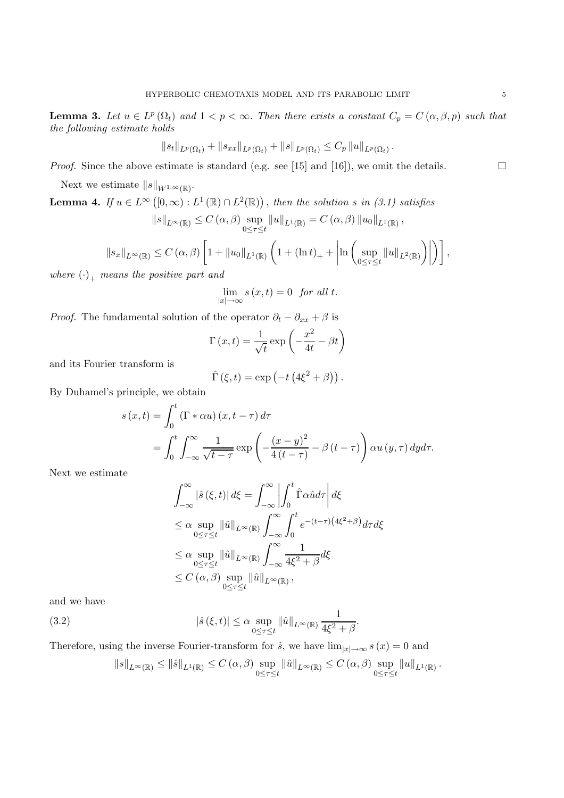**Lemma 3.** Let  $u \in L^p(\Omega_t)$  and  $1 < p < \infty$ . Then there exists a constant  $C_p = C(\alpha, \beta, p)$  such that *the following estimate holds*

$$
||s_t||_{L^p(\Omega_t)} + ||s_{xx}||_{L^p(\Omega_t)} + ||s||_{L^p(\Omega_t)} \leq C_p ||u||_{L^p(\Omega_t)}.
$$

*Proof.* Since the above estimate is standard (e.g. see [15] and [16]), we omit the details.

Next we estimate  $||s||_{W^{1,\infty}(\mathbb{R})}$ .

**Lemma 4.** If  $u \in L^{\infty}([0,\infty): L^{1}(\mathbb{R}) \cap L^{2}(\mathbb{R}))$ , then the solution s in (3.1) satisfies  $||s||_{L^{\infty}(\mathbb{R})} \leq C(\alpha, \beta) \sup$  $0 \leq \tau \leq t$  $||u||_{L^{1}(\mathbb{R})} = C(\alpha, \beta) ||u_0||_{L^{1}(\mathbb{R})},$  $||s_x||_{L^{\infty}(\mathbb{R})} \leq C(\alpha, \beta) \left[1 + ||u_0||_{L^1(\mathbb{R})} \left(1 + (\ln t)_{+} + \right)\right]$  $\ln \int \, \sup$  $0 \leq \tau \leq t$  $\|u\|_{L^2(\mathbb{R})}\bigg)\bigg|$  $\big)$ ,

where  $(\cdot)_+$  *means the positive part and* 

$$
\lim_{|x| \to \infty} s(x, t) = 0 \text{ for all } t.
$$

*Proof.* The fundamental solution of the operator  $\partial_t - \partial_{xx} + \beta$  is

$$
\Gamma(x,t) = \frac{1}{\sqrt{t}} \exp\left(-\frac{x^2}{4t} - \beta t\right)
$$

and its Fourier transform is

$$
\hat{\Gamma}(\xi, t) = \exp(-t (4\xi^2 + \beta)).
$$

By Duhamel's principle, we obtain

$$
s(x,t) = \int_0^t (\Gamma * \alpha u) (x, t - \tau) d\tau
$$
  
= 
$$
\int_0^t \int_{-\infty}^\infty \frac{1}{\sqrt{t - \tau}} \exp \left( -\frac{(x - y)^2}{4(t - \tau)} - \beta (t - \tau) \right) \alpha u(y, \tau) dy d\tau.
$$

Next we estimate

$$
\int_{-\infty}^{\infty} |\hat{s}(\xi, t)| d\xi = \int_{-\infty}^{\infty} \left| \int_{0}^{t} \hat{\Gamma} \alpha \hat{u} d\tau \right| d\xi
$$
  
\n
$$
\leq \alpha \sup_{0 \leq \tau \leq t} \|\hat{u}\|_{L^{\infty}(\mathbb{R})} \int_{-\infty}^{\infty} \int_{0}^{t} e^{-(t-\tau)(4\xi^{2}+\beta)} d\tau d\xi
$$
  
\n
$$
\leq \alpha \sup_{0 \leq \tau \leq t} \|\hat{u}\|_{L^{\infty}(\mathbb{R})} \int_{-\infty}^{\infty} \frac{1}{4\xi^{2}+\beta} d\xi
$$
  
\n
$$
\leq C(\alpha, \beta) \sup_{0 \leq \tau \leq t} \|\hat{u}\|_{L^{\infty}(\mathbb{R})},
$$

and we have

(3.2) 
$$
|\hat{s}(\xi,t)| \leq \alpha \sup_{0 \leq \tau \leq t} ||\hat{u}||_{L^{\infty}(\mathbb{R})} \frac{1}{4\xi^2 + \beta}.
$$

Therefore, using the inverse Fourier-transform for  $\hat{s}$ , we have  $\lim_{|x|\to\infty} s(x) = 0$  and

$$
||s||_{L^{\infty}(\mathbb{R})} \leq ||\hat{s}||_{L^{1}(\mathbb{R})} \leq C(\alpha,\beta) \sup_{0 \leq \tau \leq t} ||\hat{u}||_{L^{\infty}(\mathbb{R})} \leq C(\alpha,\beta) \sup_{0 \leq \tau \leq t} ||u||_{L^{1}(\mathbb{R})}.
$$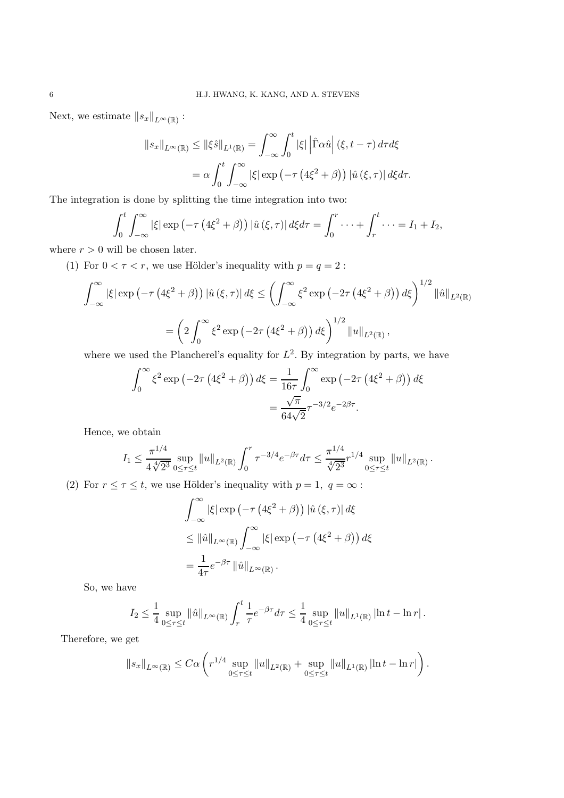Next, we estimate  $||s_x||_{L^{\infty}(\mathbb{R})}$ :

$$
||s_x||_{L^{\infty}(\mathbb{R})} \le ||\xi \hat{s}||_{L^1(\mathbb{R})} = \int_{-\infty}^{\infty} \int_0^t |\xi| |\hat{\Gamma} \alpha \hat{u}| (\xi, t - \tau) d\tau d\xi
$$
  
=  $\alpha \int_0^t \int_{-\infty}^{\infty} |\xi| \exp(-\tau (4\xi^2 + \beta)) |\hat{u}(\xi, \tau)| d\xi d\tau.$ 

The integration is done by splitting the time integration into two:

$$
\int_0^t \int_{-\infty}^\infty |\xi| \exp\left(-\tau \left(4\xi^2 + \beta\right)\right) |\hat{u}(\xi,\tau)| d\xi d\tau = \int_0^r \cdots + \int_r^t \cdots = I_1 + I_2,
$$

where  $r > 0$  will be chosen later.

(1) For  $0 < \tau < r$ , we use Hölder's inequality with  $p = q = 2$ :

$$
\int_{-\infty}^{\infty} |\xi| \exp\left(-\tau \left(4\xi^2 + \beta\right)\right) |\hat{u}(\xi,\tau)| d\xi \le \left(\int_{-\infty}^{\infty} \xi^2 \exp\left(-2\tau \left(4\xi^2 + \beta\right)\right) d\xi\right)^{1/2} \|\hat{u}\|_{L^2(\mathbb{R})}
$$

$$
= \left(2 \int_{0}^{\infty} \xi^2 \exp\left(-2\tau \left(4\xi^2 + \beta\right)\right) d\xi\right)^{1/2} \|u\|_{L^2(\mathbb{R})},
$$

where we used the Plancherel's equality for  $L^2$ . By integration by parts, we have

$$
\int_0^\infty \xi^2 \exp\left(-2\tau \left(4\xi^2 + \beta\right)\right) d\xi = \frac{1}{16\tau} \int_0^\infty \exp\left(-2\tau \left(4\xi^2 + \beta\right)\right) d\xi
$$

$$
= \frac{\sqrt{\pi}}{64\sqrt{2}} \tau^{-3/2} e^{-2\beta\tau}.
$$

Hence, we obtain

$$
I_1 \leq \frac{\pi^{1/4}}{4 \sqrt[4]{2^3}} \sup_{0 \leq \tau \leq t} \|u\|_{L^2(\mathbb{R})} \int_0^r \tau^{-3/4} e^{-\beta \tau} d\tau \leq \frac{\pi^{1/4}}{\sqrt[4]{2^3}} r^{1/4} \sup_{0 \leq \tau \leq t} \|u\|_{L^2(\mathbb{R})}.
$$

(2) For  $r \leq \tau \leq t$ , we use Hölder's inequality with  $p = 1, q = \infty$ :

$$
\int_{-\infty}^{\infty} |\xi| \exp \left( -\tau \left( 4\xi^2 + \beta \right) \right) |\hat{u}(\xi, \tau)| d\xi
$$
  
\$\leq \| \hat{u} \|\_{L^{\infty}(\mathbb{R})} \int\_{-\infty}^{\infty} |\xi| \exp \left( -\tau \left( 4\xi^2 + \beta \right) \right) d\xi\$  
= 
$$
\frac{1}{4\tau} e^{-\beta \tau} \| \hat{u} \|_{L^{\infty}(\mathbb{R})}.
$$

So, we have

$$
I_2 \leq \frac{1}{4} \sup_{0 \leq \tau \leq t} ||\hat{u}||_{L^{\infty}(\mathbb{R})} \int_r^t \frac{1}{\tau} e^{-\beta \tau} d\tau \leq \frac{1}{4} \sup_{0 \leq \tau \leq t} ||u||_{L^1(\mathbb{R})} \left| \ln t - \ln r \right|.
$$

Therefore, we get

$$
||s_x||_{L^{\infty}(\mathbb{R})} \leq C\alpha \left( r^{1/4} \sup_{0 \leq \tau \leq t} ||u||_{L^2(\mathbb{R})} + \sup_{0 \leq \tau \leq t} ||u||_{L^1(\mathbb{R})} \left| \ln t - \ln r \right| \right).
$$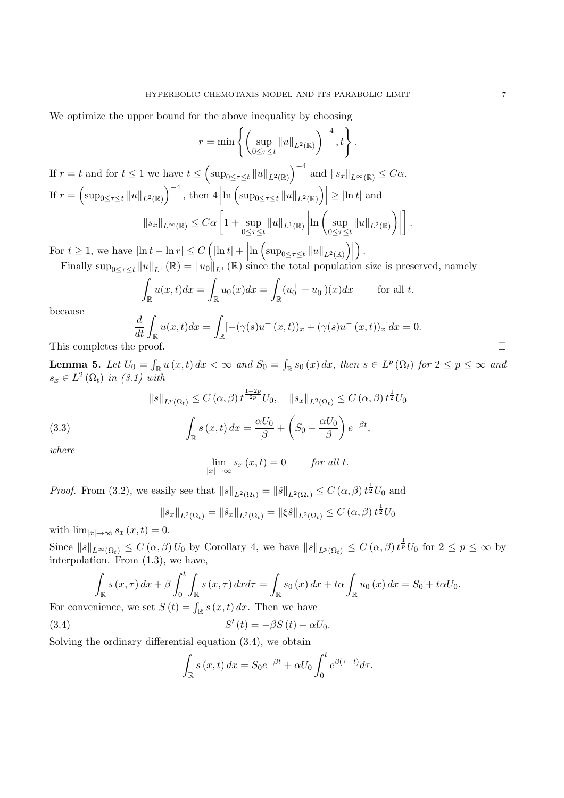We optimize the upper bound for the above inequality by choosing

$$
r = \min \left\{ \left( \sup_{0 \le \tau \le t} \|u\|_{L^2(\mathbb{R})} \right)^{-4}, t \right\}.
$$

If  $r = t$  and for  $t \leq 1$  we have  $t \leq \left(\sup_{0 \leq \tau \leq t} ||u||_{L^2(\mathbb{R})}\right)^{-4}$  and  $||s_x||_{L^{\infty}(\mathbb{R})} \leq C\alpha$ . If  $r = \left(\sup_{0 \le \tau \le t} ||u||_{L^2(\mathbb{R})}\right)^{-4}$ , then  $4 \nvert$  $\ln \left( \sup_{0 \le \tau \le t} ||u||_{L^2(\mathbb{R})} \right) \ge |\ln t|$  and  $||s_x||_{L^{\infty}(\mathbb{R})} \leq C\alpha \left[1 + \sup_{\alpha \in \mathbb{R}} \right]$  $0 \leq \tau \leq t$  $||u||_{L^1(\mathbb{R})}\Big|$  $\ln \int \, \sup$  $0 \leq \tau \leq t$  $||u||_{L^2(\mathbb{R})}\bigg)\bigg|$ .

For  $t \geq 1$ , we have  $|\ln t - \ln r| \leq C \left( \left| \ln t \right| + \left| \ln \left( \sup_{0 \leq \tau \leq t} \left\| u \right\|_{L^2(\mathbb{R})} \right) \right| \right)$ .

Finally  $\sup_{0 \leq \tau \leq t} ||u||_{L^1}(\mathbb{R}) = ||u_0||_{L^1}(\mathbb{R})$  since the total population size is preserved, namely

$$
\int_{\mathbb{R}} u(x,t)dx = \int_{\mathbb{R}} u_0(x)dx = \int_{\mathbb{R}} (u_0^+ + u_0^-)(x)dx \quad \text{for all } t.
$$

because

$$
\frac{d}{dt} \int_{\mathbb{R}} u(x,t)dx = \int_{\mathbb{R}} [-(\gamma(s)u^+(x,t))_x + (\gamma(s)u^-(x,t))_x]dx = 0.
$$
\nThis completes the proof.

**Lemma 5.** Let  $U_0 = \int_{\mathbb{R}} u(x,t) dx < \infty$  and  $S_0 = \int_{\mathbb{R}} s_0(x) dx$ , then  $s \in L^p(\Omega_t)$  for  $2 \leq p \leq \infty$  and  $s_x \in L^2(\Omega_t)$  *in (3.1)* with

(3.3)  

$$
\|s\|_{L^p(\Omega_t)} \le C(\alpha, \beta) t^{\frac{1+2p}{2p}} U_0, \quad \|s_x\|_{L^2(\Omega_t)} \le C(\alpha, \beta) t^{\frac{1}{2}} U_0
$$

$$
\int_{\mathbb{R}} s(x, t) dx = \frac{\alpha U_0}{\beta} + \left(S_0 - \frac{\alpha U_0}{\beta}\right) e^{-\beta t},
$$

$$
where
$$

$$
\lim_{|x| \to \infty} s_x(x, t) = 0 \quad \text{for all } t.
$$

*Proof.* From (3.2), we easily see that  $||s||_{L^2(\Omega_t)} = ||\hat{s}||_{L^2(\Omega_t)} \leq C(\alpha, \beta) t^{\frac{1}{2}} U_0$  and

$$
\|s_x\|_{L^2(\Omega_t)} = \|\hat{s}_x\|_{L^2(\Omega_t)} = \|\xi\hat{s}\|_{L^2(\Omega_t)} \le C(\alpha, \beta) t^{\frac{1}{2}} U_0
$$

with  $\lim_{|x| \to \infty} s_x(x, t) = 0.$ 

Since  $||s||_{L^{\infty}(\Omega_t)} \leq C(\alpha, \beta) U_0$  by Corollary 4, we have  $||s||_{L^p(\Omega_t)} \leq C(\alpha, \beta) t^{\frac{1}{p}} U_0$  for  $2 \leq p \leq \infty$  by interpolation. From (1.3), we have,

$$
\int_{\mathbb{R}} s(x,\tau) dx + \beta \int_0^t \int_{\mathbb{R}} s(x,\tau) dx d\tau = \int_{\mathbb{R}} s_0(x) dx + t\alpha \int_{\mathbb{R}} u_0(x) dx = S_0 + t\alpha U_0.
$$
\nminomge, we get

\n
$$
S(t) = \int_{\mathbb{R}} s(x,t) dx
$$
\nThen, we have

For convenience, we set  $S(t) = \int_{\mathbb{R}} s(x, t) dx$ . Then we have

(3.4) 
$$
S'(t) = -\beta S(t) + \alpha U_0.
$$

Solving the ordinary differential equation (3.4), we obtain

$$
\int_{\mathbb{R}} s(x,t) dx = S_0 e^{-\beta t} + \alpha U_0 \int_0^t e^{\beta(\tau - t)} d\tau.
$$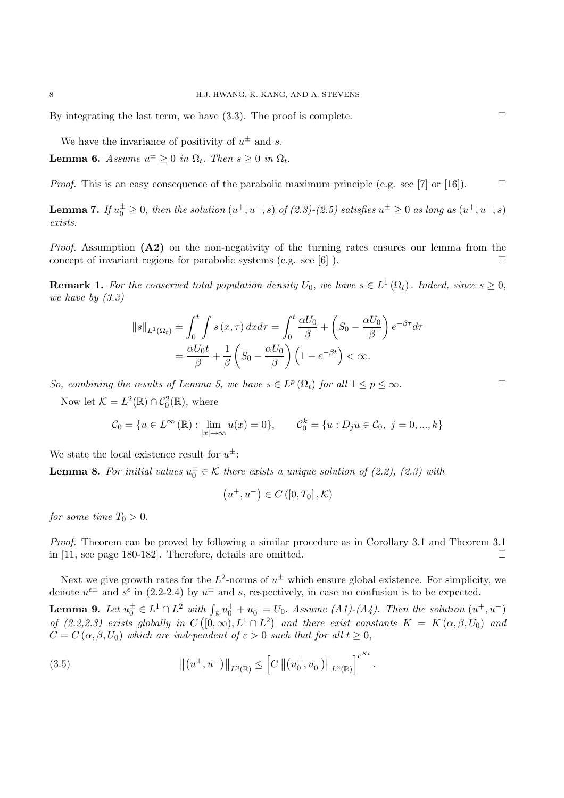By integrating the last term, we have  $(3.3)$ . The proof is complete.

We have the invariance of positivity of  $u^{\pm}$  and s.

**Lemma 6.** *Assume*  $u^{\pm} > 0$  *in*  $\Omega_t$ . *Then*  $s > 0$  *in*  $\Omega_t$ .

*Proof.* This is an easy consequence of the parabolic maximum principle (e.g. see [7] or [16]).  $\Box$ 

**Lemma 7.** *If*  $u_0^{\pm} \geq 0$ , then the solution  $(u^+, u^-, s)$  of  $(2.3)-(2.5)$  satisfies  $u^{\pm} \geq 0$  as long as  $(u^+, u^-, s)$ *exists.*

*Proof.* Assumption **(A2)** on the non-negativity of the turning rates ensures our lemma from the concept of invariant regions for parabolic systems (e.g. see [6]).

**Remark 1.** For the conserved total population density  $U_0$ , we have  $s \in L^1(\Omega_t)$ . Indeed, since  $s \geq 0$ , *we have by (3.3)*

$$
||s||_{L^{1}(\Omega_{t})} = \int_{0}^{t} \int s(x,\tau) dx d\tau = \int_{0}^{t} \frac{\alpha U_{0}}{\beta} + \left(S_{0} - \frac{\alpha U_{0}}{\beta}\right) e^{-\beta \tau} d\tau
$$

$$
= \frac{\alpha U_{0} t}{\beta} + \frac{1}{\beta} \left(S_{0} - \frac{\alpha U_{0}}{\beta}\right) \left(1 - e^{-\beta t}\right) < \infty.
$$

*So, combining the results of Lemma 5, we have*  $s \in L^p(\Omega_t)$  *for all*  $1 \leq p \leq \infty$ .

Now let  $K = L^2(\mathbb{R}) \cap C_0^2(\mathbb{R})$ , where

$$
C_0 = \{ u \in L^{\infty}(\mathbb{R}) : \lim_{|x| \to \infty} u(x) = 0 \}, \qquad C_0^k = \{ u : D_j u \in C_0, \ j = 0, ..., k \}
$$

We state the local existence result for  $u^{\pm}$ :

**Lemma 8.** For initial values  $u_0^{\pm} \in \mathcal{K}$  there exists a unique solution of (2.2), (2.3) with

$$
\left(u^+, u^-\right) \in C\left(\left[0, T_0\right], \mathcal{K}\right)
$$

*for some time*  $T_0 > 0$ .

*Proof.* Theorem can be proved by following a similar procedure as in Corollary 3.1 and Theorem 3.1 in [11, see page 180-182]. Therefore, details are omitted.  $\square$ 

Next we give growth rates for the  $L^2$ -norms of  $u^{\pm}$  which ensure global existence. For simplicity, we denote  $u^{\epsilon \pm}$  and  $s^{\epsilon}$  in (2.2-2.4) by  $u^{\pm}$  and s, respectively, in case no confusion is to be expected.

**Lemma 9.** Let  $u_0^{\pm} \in L^1 \cap L^2$  with  $\int_{\mathbb{R}} u_0^+ + u_0^- = U_0$ . Assume  $(A1)-(A4)$ . Then the solution  $(u^+, u^-)$ *of*  $(2.2,2.3)$  exists globally in  $C([0,\infty), L^1 \cap L^2)$  and there exist constants  $K = K(\alpha,\beta,U_0)$  and  $C = C(\alpha, \beta, U_0)$  *which are independent of*  $\varepsilon > 0$  *such that for all*  $t \geq 0$ ,

(3.5) 
$$
\| (u^+, u^-) \|_{L^2(\mathbb{R})} \leq \left[ C \| (u_0^+, u_0^-) \|_{L^2(\mathbb{R})} \right]^{e^{Kt}}.
$$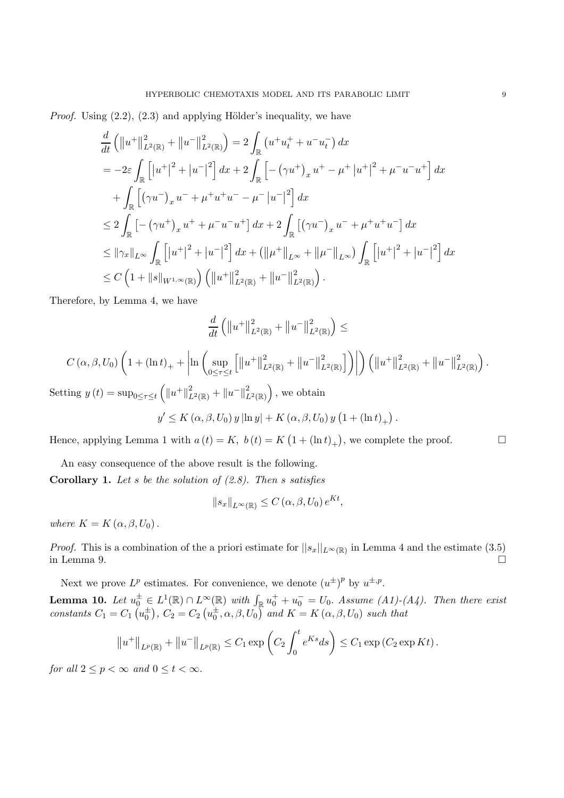*Proof.* Using  $(2.2)$ ,  $(2.3)$  and applying Hölder's inequality, we have

$$
\frac{d}{dt} \left( \|u^+\|_{L^2(\mathbb{R})}^2 + \|u^-\|_{L^2(\mathbb{R})}^2 \right) = 2 \int_{\mathbb{R}} \left( u^+ u_t^+ + u^- u_t^- \right) dx
$$
\n
$$
= -2\varepsilon \int_{\mathbb{R}} \left[ |u^+|^2 + |u^-|^2 \right] dx + 2 \int_{\mathbb{R}} \left[ -(\gamma u^+)_{x} u^+ - \mu^+ |u^+|^2 + \mu^- u^- u^+ \right] dx
$$
\n
$$
+ \int_{\mathbb{R}} \left[ (\gamma u^-)_{x} u^- + \mu^+ u^+ u^- - \mu^- |u^-|^2 \right] dx
$$
\n
$$
\leq 2 \int_{\mathbb{R}} \left[ -(\gamma u^+)_{x} u^+ + \mu^- u^- u^+ \right] dx + 2 \int_{\mathbb{R}} \left[ (\gamma u^-)_{x} u^- + \mu^+ u^+ u^- \right] dx
$$
\n
$$
\leq \|\gamma_x\|_{L^{\infty}} \int_{\mathbb{R}} \left[ |u^+|^2 + |u^-|^2 \right] dx + \left( \|\mu^+\|_{L^{\infty}} + \|\mu^-\|_{L^{\infty}} \right) \int_{\mathbb{R}} \left[ |u^+|^2 + |u^-|^2 \right] dx
$$
\n
$$
\leq C \left( 1 + \|s\|_{W^{1,\infty}(\mathbb{R})} \right) \left( \|u^+\|_{L^2(\mathbb{R})}^2 + \|u^-\|_{L^2(\mathbb{R})}^2 \right).
$$

Therefore, by Lemma 4, we have

$$
\frac{d}{dt}\left(\left\|u^{+}\right\|^{2}_{L^{2}(\mathbb{R})}+\left\|u^{-}\right\|^{2}_{L^{2}(\mathbb{R})}\right)\leq
$$

$$
C(\alpha, \beta, U_0) \left(1 + (\ln t)_+ + \left|\ln \left(\sup_{0 \leq \tau \leq t} \left[ \left\| u^+ \right\|_{L^2(\mathbb{R})}^2 + \left\| u^- \right\|_{L^2(\mathbb{R})}^2 \right] \right) \right| \right) \left( \left\| u^+ \right\|_{L^2(\mathbb{R})}^2 + \left\| u^- \right\|_{L^2(\mathbb{R})}^2 \right).
$$

Setting  $y(t) = \sup_{0 \le \tau \le t} (||u^+||^2_{L^2(\mathbb{R})} + ||u^-||^2_{L^2(\mathbb{R})})$ , we obtain

$$
y' \le K(\alpha, \beta, U_0) y |\ln y| + K(\alpha, \beta, U_0) y (1 + (\ln t)_+).
$$

Hence, applying Lemma 1 with  $a(t) = K$ ,  $b(t) = K(1 + (\ln t)_+)$ , we complete the proof.

An easy consequence of the above result is the following. **Corollary 1.** *Let* s *be the solution of (2.8). Then* s *satisfies*

$$
\|s_x\|_{L^{\infty}(\mathbb{R})} \leq C(\alpha, \beta, U_0) e^{Kt},
$$

$$
\mathbb{P}^x \mathbb{P}^L \mathbb{Q}(\mathbb{R}) = \mathbb{P}^x \left( \mathbb{R}^2 \right)
$$

*where*  $K = K(\alpha, \beta, U_0)$ .

*Proof.* This is a combination of the a priori estimate for  $||s_x||_{L^{\infty}(\mathbb{R})}$  in Lemma 4 and the estimate (3.5) in Lemma 9. in Lemma 9.  $\Box$ 

Next we prove  $L^p$  estimates. For convenience, we denote  $(u^{\pm})^p$  by  $u^{\pm,p}$ . **Lemma 10.** Let  $u_0^{\pm} \in L^1(\mathbb{R}) \cap L^{\infty}(\mathbb{R})$  with  $\int_{\mathbb{R}} u_0^+ + u_0^- = U_0$ . Assume (A1)-(A4). Then there exist *constants*  $C_1 = C_1(u_0^{\pm}), C_2 = C_2(u_0^{\pm}, \alpha, \beta, U_0)$  *and*  $K = K(\alpha, \beta, U_0)$  *such that* 

$$
||u^+||_{L^p(\mathbb{R})} + ||u^-||_{L^p(\mathbb{R})} \leq C_1 \exp\left(C_2 \int_0^t e^{Ks} ds\right) \leq C_1 \exp\left(C_2 \exp Kt\right).
$$

*for all*  $2 \leq p < \infty$  *and*  $0 \leq t < \infty$ *.*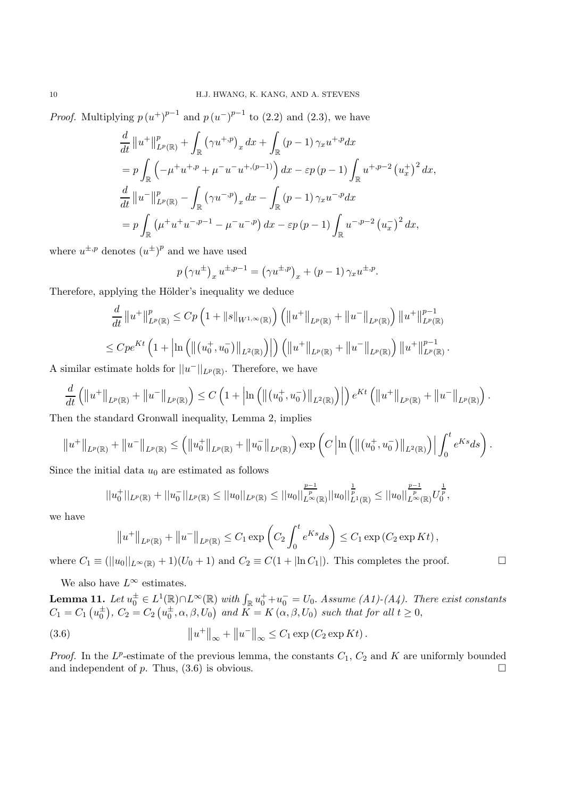*Proof.* Multiplying  $p(u^+)^{p-1}$  and  $p(u^-)^{p-1}$  to (2.2) and (2.3), we have

$$
\frac{d}{dt} ||u^+||^p_{L^p(\mathbb{R})} + \int_{\mathbb{R}} (\gamma u^{+,p})_x dx + \int_{\mathbb{R}} (p-1) \gamma_x u^{+,p} dx
$$
  
\n
$$
= p \int_{\mathbb{R}} \left( -\mu^+ u^{+,p} + \mu^- u^- u^{+, (p-1)} \right) dx - \varepsilon p (p-1) \int_{\mathbb{R}} u^{+,p-2} (u^+_x)^2 dx,
$$
  
\n
$$
\frac{d}{dt} ||u^-||^p_{L^p(\mathbb{R})} - \int_{\mathbb{R}} (\gamma u^{-,p})_x dx - \int_{\mathbb{R}} (p-1) \gamma_x u^{-,p} dx
$$
  
\n
$$
= p \int_{\mathbb{R}} (\mu^+ u^+ u^{-,p-1} - \mu^- u^{-,p}) dx - \varepsilon p (p-1) \int_{\mathbb{R}} u^{-,p-2} (u^-_x)^2 dx,
$$

where  $u^{\pm,p}$  denotes  $(u^{\pm})^p$  and we have used

$$
p(\gamma u^{\pm})_x u^{\pm, p-1} = (\gamma u^{\pm, p})_x + (p-1) \gamma_x u^{\pm, p}.
$$

Therefore, applying the Hölder's inequality we deduce

$$
\frac{d}{dt} ||u^+||^p_{L^p(\mathbb{R})} \le Cp \left(1 + ||s||_{W^{1,\infty}(\mathbb{R})}\right) \left( ||u^+||_{L^p(\mathbb{R})} + ||u^-||_{L^p(\mathbb{R})}\right) ||u^+||^{p-1}_{L^p(\mathbb{R})}
$$
  

$$
\le Cpe^{Kt} \left(1 + \left|\ln\left(\left\|(u^+_0, u^-_0)\right\|_{L^2(\mathbb{R})}\right)\right| \right) \left( ||u^+||_{L^p(\mathbb{R})} + ||u^-||_{L^p(\mathbb{R})}\right) ||u^+||^{p-1}_{L^p(\mathbb{R})}.
$$

A similar estimate holds for  $||u^-||_{L^p(\mathbb{R})}$ . Therefore, we have

$$
\frac{d}{dt} \left( \left\| u^+ \right\|_{L^p(\mathbb{R})} + \left\| u^- \right\|_{L^p(\mathbb{R})} \right) \le C \left( 1 + \left| \ln \left( \left\| \left( u_0^+, u_0^- \right) \right\|_{L^2(\mathbb{R})} \right) \right| \right) e^{Kt} \left( \left\| u^+ \right\|_{L^p(\mathbb{R})} + \left\| u^- \right\|_{L^p(\mathbb{R})} \right).
$$
\non the standard Gromull inequality,  $\text{I} \text{ or } 2$ ,  $\text{implies}$ .

Then the standard Gronwall inequality, Lemma 2, implies

$$
||u^+||_{L^p(\mathbb{R})} + ||u^-||_{L^p(\mathbb{R})} \leq (||u_0^+||_{L^p(\mathbb{R})} + ||u_0^-||_{L^p(\mathbb{R})}) \exp (C \left|\ln \left( ||(u_0^+, u_0^-)||_{L^2(\mathbb{R})} \right) \right| \int_0^t e^{Ks} ds \bigg).
$$

Since the initial data  $u_0$  are estimated as follows

$$
||u_0^+||_{L^p(\mathbb{R})} + ||u_0^-||_{L^p(\mathbb{R})} \le ||u_0||_{L^p(\mathbb{R})} \le ||u_0||_{L^{\infty}(\mathbb{R})}^{\frac{p-1}{p}} ||u_0||_{L^1(\mathbb{R})}^{\frac{1}{p}} \le ||u_0||_{L^{\infty}(\mathbb{R})}^{\frac{p-1}{p}} U_0^{\frac{1}{p}},
$$

we have

$$
||u^+||_{L^p(\mathbb{R})} + ||u^-||_{L^p(\mathbb{R})} \leq C_1 \exp\left(C_2 \int_0^t e^{Ks} ds\right) \leq C_1 \exp(C_2 \exp Kt),
$$

where  $C_1 \equiv (||u_0||_{L^\infty(\mathbb{R})} + 1)(U_0 + 1)$  and  $C_2 \equiv C(1 + |\ln C_1|)$ . This completes the proof.

We also have  $L^{\infty}$  estimates.

**Lemma 11.** Let  $u_0^{\pm} \in L^1(\mathbb{R}) \cap L^{\infty}(\mathbb{R})$  with  $\int_{\mathbb{R}} u_0^+ + u_0^- = U_0$ . Assume (A1)-(A4). There exist constants  $C_1 = C_1(u_0^{\pm}), C_2 = C_2(u_0^{\pm}, \alpha, \beta, U_0)$  and  $K = K(\alpha, \beta, U_0)$  such that for all  $t \ge 0$ ,

(3.6) 
$$
\|u^+\|_{\infty} + \|u^-\|_{\infty} \leq C_1 \exp(C_2 \exp Kt).
$$

*Proof.* In the  $L^p$ -estimate of the previous lemma, the constants  $C_1$ ,  $C_2$  and K are uniformly bounded and independent of p. Thus,  $(3.6)$  is obvious.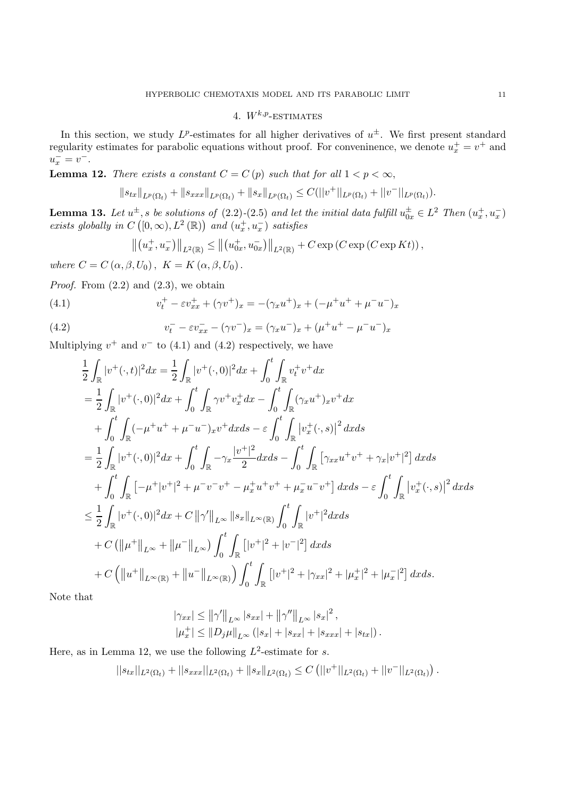# 4.  $W^{k,p}$ -ESTIMATES

In this section, we study  $L^p$ -estimates for all higher derivatives of  $u^{\pm}$ . We first present standard regularity estimates for parabolic equations without proof. For conveninence, we denote  $u_x^+ = v^+$  and  $u_x^- = v^-$ .

**Lemma 12.** *There exists a constant*  $C = C(p)$  *such that for all*  $1 < p < \infty$ ,

$$
||s_{tx}||_{L^p(\Omega_t)} + ||s_{xxx}||_{L^p(\Omega_t)} + ||s_x||_{L^p(\Omega_t)} \leq C(||v^+||_{L^p(\Omega_t)} + ||v^-||_{L^p(\Omega_t)}).
$$

**Lemma 13.** Let  $u^{\pm}$ , s be solutions of (2.2)-(2.5) and let the initial data fulfill  $u_{0x}^{\pm} \in L^2$  Then  $(u_x^+, u_x^-)$ *exists globally in*  $C([0,\infty), L^2(\mathbb{R}))$  *and*  $(u_x^+, u_x^-)$  *satisfies* 

$$
\left\| (u_x^+, u_x^-) \right\|_{L^2(\mathbb{R})} \leq \left\| (u_{0x}^+, u_{0x}^-) \right\|_{L^2(\mathbb{R})} + C \exp \left( C \exp \left( C \exp Kt \right) \right),
$$

*where*  $C = C(\alpha, \beta, U_0)$ ,  $K = K(\alpha, \beta, U_0)$ .

*Proof.* From  $(2.2)$  and  $(2.3)$ , we obtain

(4.1) 
$$
v_t^+ - \varepsilon v_{xx}^+ + (\gamma v^+)_x = -(\gamma_x u^+)_x + (-\mu^+ u^+ + \mu^- u^-)_x
$$

(4.2) 
$$
v_t^- - \varepsilon v_{xx}^- - (\gamma v^-)_x = (\gamma_x u^-)_x + (\mu^+ u^+ - \mu^- u^-)_x
$$

Multiplying  $v^+$  and  $v^-$  to (4.1) and (4.2) respectively, we have

$$
\frac{1}{2} \int_{\mathbb{R}} |v^{+}(\cdot,t)|^{2} dx = \frac{1}{2} \int_{\mathbb{R}} |v^{+}(\cdot,0)|^{2} dx + \int_{0}^{t} \int_{\mathbb{R}} v_{t}^{+}v^{+} dx \n= \frac{1}{2} \int_{\mathbb{R}} |v^{+}(\cdot,0)|^{2} dx + \int_{0}^{t} \int_{\mathbb{R}} \gamma v^{+}v_{x}^{+} dx - \int_{0}^{t} \int_{\mathbb{R}} (\gamma_{x}u^{+})_{x}v^{+} dx \n+ \int_{0}^{t} \int_{\mathbb{R}} (-\mu^{+}u^{+} + \mu^{-}u^{-})_{x}v^{+} dx ds - \varepsilon \int_{0}^{t} \int_{\mathbb{R}} |v_{x}^{+}(\cdot,s)|^{2} dx ds \n= \frac{1}{2} \int_{\mathbb{R}} |v^{+}(\cdot,0)|^{2} dx + \int_{0}^{t} \int_{\mathbb{R}} -\gamma_{x} \frac{|v^{+}|^{2}}{2} dx ds - \int_{0}^{t} \int_{\mathbb{R}} [\gamma_{xx}u^{+}v^{+} + \gamma_{x}|v^{+}|^{2}] dx ds \n+ \int_{0}^{t} \int_{\mathbb{R}} [-\mu^{+}|v^{+}|^{2} + \mu^{-}v^{-}v^{+} - \mu_{x}^{+}u^{+}v^{+} + \mu_{x}^{-}u^{-}v^{+}] dx ds - \varepsilon \int_{0}^{t} \int_{\mathbb{R}} |v_{x}^{+}(\cdot,s)|^{2} dx ds \n\leq \frac{1}{2} \int_{\mathbb{R}} |v^{+}(\cdot,0)|^{2} dx + C ||\gamma'||_{L^{\infty}} ||s_{x}||_{L^{\infty}(\mathbb{R})} \int_{0}^{t} \int_{\mathbb{R}} |v^{+}|^{2} dx ds \n+ C (||\mu^{+}||_{L^{\infty}} + ||\mu^{-}||_{L^{\infty}}) \int_{0}^{t} \int_{\mathbb{R}} |v^{+}|^{2} + |v^{-}|^{2} dx ds \n+ C (||u^{+}||_{L^{\infty}(\mathbb{R})} + ||u^{-}||_{L^{\infty}(\mathbb{R})}) \int_{0}^{t} \int_{\mathbb{R}} |v^{+}|^{2}
$$

Note that

$$
|\gamma_{xx}| \le ||\gamma'||_{L^{\infty}} |s_{xx}| + ||\gamma''||_{L^{\infty}} |s_x|^2,
$$
  

$$
|\mu_x^+| \le ||D_j\mu||_{L^{\infty}} (|s_x| + |s_{xx}| + |s_{xxx}| + |s_{tx}|).
$$

Here, as in Lemma 12, we use the following  $L^2$ -estimate for s.

$$
||s_{tx}||_{L^2(\Omega_t)} + ||s_{xxx}||_{L^2(\Omega_t)} + ||s_x||_{L^2(\Omega_t)} \leq C (||v^+||_{L^2(\Omega_t)} + ||v^-||_{L^2(\Omega_t)}).
$$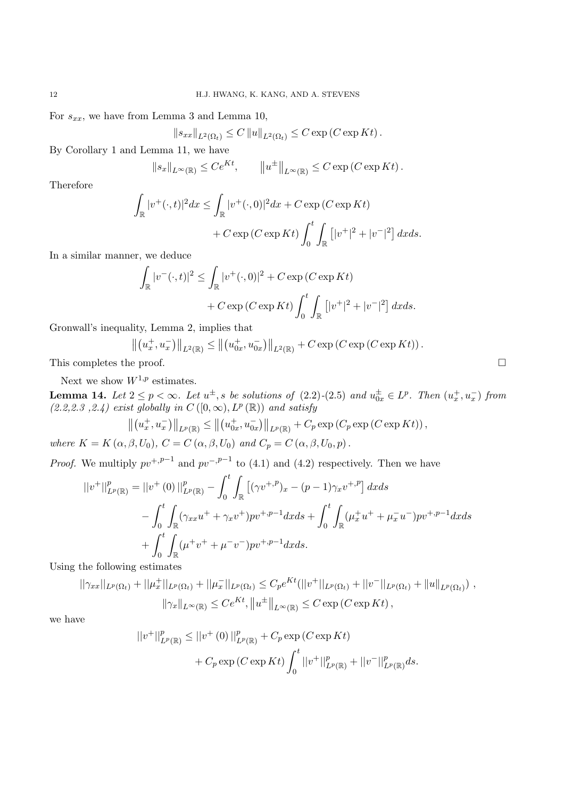For  $s_{xx}$ , we have from Lemma 3 and Lemma 10,

$$
||s_{xx}||_{L^2(\Omega_t)} \leq C ||u||_{L^2(\Omega_t)} \leq C \exp(C \exp Kt).
$$

By Corollary 1 and Lemma 11, we have

$$
||s_x||_{L^{\infty}(\mathbb{R})} \le Ce^{Kt}, \qquad ||u^{\pm}||_{L^{\infty}(\mathbb{R})} \le C \exp(C \exp Kt).
$$

Therefore

$$
\int_{\mathbb{R}} |v^+(\cdot,t)|^2 dx \le \int_{\mathbb{R}} |v^+(\cdot,0)|^2 dx + C \exp(C \exp Kt)
$$
  
+ 
$$
C \exp(C \exp Kt) \int_0^t \int_{\mathbb{R}} \left[ |v^+|^2 + |v^-|^2 \right] dx ds.
$$

In a similar manner, we deduce

$$
\int_{\mathbb{R}} |v^{-}(\cdot,t)|^{2} \leq \int_{\mathbb{R}} |v^{+}(\cdot,0)|^{2} + C \exp(C \exp Kt)
$$

$$
+ C \exp(C \exp Kt) \int_{0}^{t} \int_{\mathbb{R}} \left[ |v^{+}|^{2} + |v^{-}|^{2} \right] dx ds.
$$

Gronwall's inequality, Lemma 2, implies that

$$
\left\| \left( u_x^+, u_x^- \right) \right\|_{L^2(\mathbb{R})} \le \left\| \left( u_{0x}^+, u_{0x}^- \right) \right\|_{L^2(\mathbb{R})} + C \exp \left( C \exp \left( C \exp Kt \right) \right).
$$

This completes the proof.  $\Box$ 

Next we show  $W^{1,p}$  estimates.

**Lemma 14.** Let  $2 \leq p < \infty$ . Let  $u^{\pm}$ , s be solutions of (2.2)–(2.5) and  $u_{0x}^{\pm} \in L^p$ . Then  $(u_x^+, u_x^-)$  from  $(2.2,2.3,2.4)$  exist globally in  $C([0,\infty), L^p(\mathbb{R}))$  and satisfy

$$
\left\| \left( u_x^+, u_x^- \right) \right\|_{L^p(\mathbb{R})} \le \left\| \left( u_{0x}^+, u_{0x}^- \right) \right\|_{L^p(\mathbb{R})} + C_p \exp \left( C_p \exp \left( C \exp Kt \right) \right),
$$

*where*  $K = K(\alpha, \beta, U_0)$ ,  $C = C(\alpha, \beta, U_0)$  *and*  $C_p = C(\alpha, \beta, U_0, p)$ .

*Proof.* We multiply  $pv^{+,p-1}$  and  $pv^{-,p-1}$  to (4.1) and (4.2) respectively. Then we have

$$
||v^+||_{L^p(\mathbb{R})}^p = ||v^+(0)||_{L^p(\mathbb{R})}^p - \int_0^t \int_{\mathbb{R}} \left[ (\gamma v^{+,p})_x - (p-1)\gamma_x v^{+,p} \right] dx ds
$$
  

$$
- \int_0^t \int_{\mathbb{R}} (\gamma_{xx} u^+ + \gamma_x v^+) p v^{+,p-1} dx ds + \int_0^t \int_{\mathbb{R}} (\mu_x^+ u^+ + \mu_x^- u^-) p v^{+,p-1} dx ds
$$
  

$$
+ \int_0^t \int_{\mathbb{R}} (\mu^+ v^+ + \mu^- v^-) p v^{+,p-1} dx ds.
$$

Using the following estimates

$$
||\gamma_{xx}||_{L^p(\Omega_t)} + ||\mu_x^+||_{L^p(\Omega_t)} + ||\mu_x^-||_{L^p(\Omega_t)} \leq C_p e^{Kt} (||v^+||_{L^p(\Omega_t)} + ||v^-||_{L^p(\Omega_t)} + ||u||_{L^p(\Omega_t)}),
$$
  

$$
||\gamma_x||_{L^{\infty}(\mathbb{R})} \leq Ce^{Kt}, ||u^{\pm}||_{L^{\infty}(\mathbb{R})} \leq C \exp(C \exp Kt),
$$

we have

$$
||v^+||^p_{L^p(\mathbb{R})} \le ||v^+(0)||^p_{L^p(\mathbb{R})} + C_p \exp(C \exp Kt)
$$
  
+  $C_p \exp(C \exp Kt) \int_0^t ||v^+||^p_{L^p(\mathbb{R})} + ||v^-||^p_{L^p(\mathbb{R})} ds.$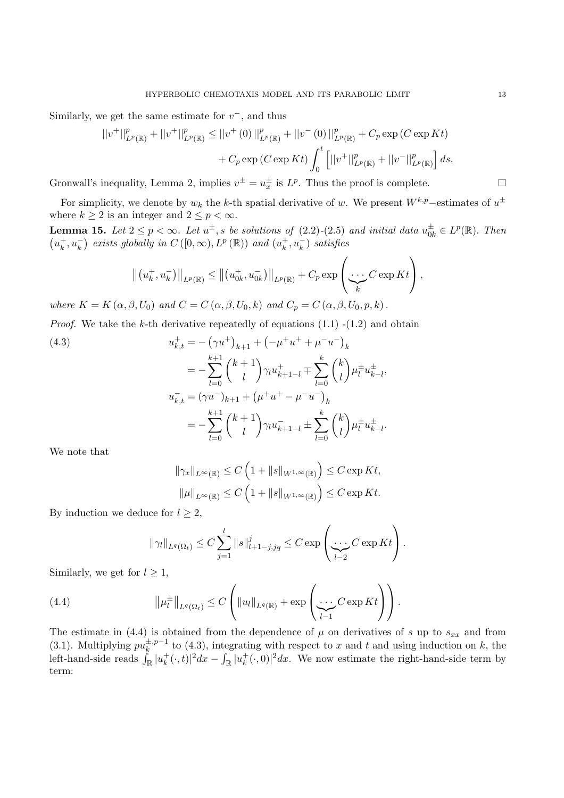Similarly, we get the same estimate for  $v^-$ , and thus

$$
||v^+||^p_{L^p(\mathbb{R})} + ||v^+||^p_{L^p(\mathbb{R})} \le ||v^+(0)||^p_{L^p(\mathbb{R})} + ||v^-(0)||^p_{L^p(\mathbb{R})} + C_p \exp(C \exp Kt) + C_p \exp(C \exp Kt) \int_0^t \left[ ||v^+||^p_{L^p(\mathbb{R})} + ||v^-||^p_{L^p(\mathbb{R})} \right] ds.
$$

Gronwall's inequality, Lemma 2, implies  $v^{\pm} = u_x^{\pm}$  is  $L^p$ . Thus the proof is complete.

For simplicity, we denote by  $w_k$  the k-th spatial derivative of w. We present  $W^{k,p}$ –estimates of  $u^{\pm}$ where  $k \geq 2$  is an integer and  $2 \leq p < \infty$ .

**Lemma 15.** *Let*  $2 \le p < \infty$ *. Let*  $u^{\pm}$ , *s be solutions of* (2.2)*-*(2.5) *and initial data*  $u_{0k}^{\pm} \in L^p(\mathbb{R})$ *. Then*  $(u_k^+, u_k^-)$  exists globally in  $C([0, \infty), L^p(\mathbb{R}))$  and  $(u_k^+, u_k^-)$  satisfies

$$
\left\|\left(u_k^+, u_k^-\right)\right\|_{L^p(\mathbb{R})} \leq \left\|\left(u_{0k}^+, u_{0k}^-\right)\right\|_{L^p(\mathbb{R})} + C_p \exp\left(\frac{\cdots C \exp Kt}{k}\right),
$$

*where*  $K = K(\alpha, \beta, U_0)$  *and*  $C = C(\alpha, \beta, U_0, k)$  *and*  $C_p = C(\alpha, \beta, U_0, p, k)$ .

*Proof.* We take the k-th derivative repeatedly of equations  $(1.1)$  - $(1.2)$  and obtain

(4.3)  

$$
u_{k,t}^{+} = -(\gamma u^{+})_{k+1} + (-\mu^{+} u^{+} + \mu^{-} u^{-})_{k}
$$

$$
= -\sum_{l=0}^{k+1} {k+1 \choose l} \gamma_{l} u_{k+1-l}^{+} + \sum_{l=0}^{k} {k \choose l} \mu_{l}^{\pm} u_{k-l}^{\pm},
$$

$$
u_{k,t}^{-} = (\gamma u^{-})_{k+1} + (\mu^{+} u^{+} - \mu^{-} u^{-})_{k}
$$

$$
= -\sum_{l=0}^{k+1} {k+1 \choose l} \gamma_{l} u_{k+1-l}^{-} \pm \sum_{l=0}^{k} {k \choose l} \mu_{l}^{\pm} u_{k-l}^{\pm}.
$$

We note that

$$
\|\gamma_x\|_{L^{\infty}(\mathbb{R})} \leq C \left(1 + \|s\|_{W^{1,\infty}(\mathbb{R})}\right) \leq C \exp Kt,
$$
  

$$
\|\mu\|_{L^{\infty}(\mathbb{R})} \leq C \left(1 + \|s\|_{W^{1,\infty}(\mathbb{R})}\right) \leq C \exp Kt.
$$

By induction we deduce for  $l \geq 2$ ,

$$
\|\gamma_l\|_{L^q(\Omega_t)} \leq C \sum_{j=1}^l \|s\|_{l+1-j,jq}^j \leq C \exp\left(\frac{\cdots}{l-2} C \exp Kt\right).
$$

Similarly, we get for  $l \geq 1$ ,

(4.4) 
$$
\|\mu_l^{\pm}\|_{L^q(\Omega_t)} \leq C \left( \|u_l\|_{L^q(\mathbb{R})} + \exp \left( \underbrace{\cdots}_{l-1} C \exp Kt \right) \right).
$$

The estimate in (4.4) is obtained from the dependence of  $\mu$  on derivatives of s up to  $s_{xx}$  and from (3.1). Multiplying  $p\hat{u}_k^{\pm, p-1}$  to (4.3), integrating with respect to x and t and using induction on k, the left-hand-side reads  $\int_{\mathbb{R}} |u_k^+(\cdot,t)|^2 dx - \int_{\mathbb{R}} |u_k^+(\cdot,0)|^2 dx$ . We now estimate the right-hand-side term by term: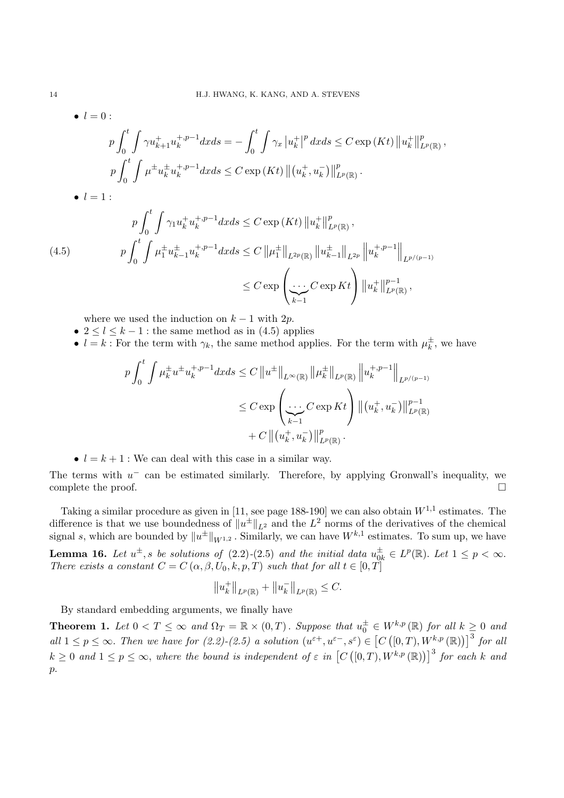$$
\begin{aligned}\n\bullet \quad l &= 0: \\
& p \int_{0}^{t} \int \gamma u_{k+1}^{+} u_{k}^{+,p-1} dx ds = -\int_{0}^{t} \int \gamma_{x} \left| u_{k}^{+} \right|^{p} dx ds \leq C \exp\left(Kt\right) \left\| u_{k}^{+} \right\|_{L^{p}(\mathbb{R})}^{p}, \\
& p \int_{0}^{t} \int \mu^{\pm} u_{k}^{\pm} u_{k}^{+,p-1} dx ds \leq C \exp\left(Kt\right) \left\| (u_{k}^{+}, u_{k}^{-}) \right\|_{L^{p}(\mathbb{R})}^{p} . \\
& \bullet \quad l = 1: \\
& p \int_{0}^{t} \int \gamma_{1} u_{k}^{+} u_{k}^{+,p-1} dx ds \leq C \exp\left(Kt\right) \left\| u_{k}^{+} \right\|_{L^{p}(\mathbb{R})}^{p}, \\
& p \int_{0}^{t} \int \mu_{1}^{\pm} u_{k-1}^{\pm} u_{k}^{+,p-1} dx ds \leq C \left\| \mu_{1}^{\pm} \right\|_{L^{2p}(\mathbb{R})} \left\| u_{k-1}^{\pm} \right\|_{L^{2p}} \left\| u_{k}^{+,p-1} \right\|_{L^{p/(p-1)}} \\
&\leq C \exp\left(\sum_{k=1}^{N} C \exp Kt\right) \left\| u_{k}^{+} \right\|_{L^{p}(\mathbb{R})}^{p-1},\n\end{aligned}
$$

where we used the induction on  $k-1$  with  $2p$ .

- $2 \leq l \leq k-1$ : the same method as in (4.5) applies
- $l = k$ : For the term with  $\gamma_k$ , the same method applies. For the term with  $\mu_k^{\pm}$ , we have

$$
p \int_0^t \int \mu_k^{\pm} u^{\pm} u_k^{+,p-1} dx ds \le C \|u^{\pm}\|_{L^{\infty}(\mathbb{R})} \| \mu_k^{\pm} \|_{L^p(\mathbb{R})} \| u_k^{+,p-1}\|_{L^{p/(p-1)}}
$$
  

$$
\le C \exp \left( \underbrace{\cdots}_{k-1} C \exp Kt \right) \| (u_k^+, u_k^-) \|_{L^p(\mathbb{R})}^{p-1}
$$
  
+ C  $\| (u_k^+, u_k^-) \|_{L^p(\mathbb{R})}^p.$ 

•  $l = k + 1$ : We can deal with this case in a similar way.

The terms with  $u^-$  can be estimated similarly. Therefore, by applying Gronwall's inequality, we complete the proof.  $\Box$ 

Taking a similar procedure as given in [11, see page 188-190] we can also obtain  $W^{1,1}$  estimates. The difference is that we use boundedness of  $||u^{\pm}||_{L^2}$  and the  $L^2$  norms of the derivatives of the chemical signal s, which are bounded by  $||u^{\pm}||_{W^{1,2}}$ . Similarly, we can have  $W^{k,1}$  estimates. To sum up, we have **Lemma 16.** *Let*  $u^{\pm}$ , *s be solutions of* (2.2)*-*(2.5) *and the initial data*  $u_{0k}^{\pm} \in L^p(\mathbb{R})$ *. Let*  $1 \leq p < \infty$ *. There exists a constant*  $C = C(\alpha, \beta, U_0, k, p, T)$  *such that for all*  $t \in [0, T]$ 

$$
||u_k^+||_{L^p(\mathbb{R})} + ||u_k^-||_{L^p(\mathbb{R})} \leq C.
$$

By standard embedding arguments, we finally have

**Theorem 1.** Let  $0 < T \leq \infty$  and  $\Omega_T = \mathbb{R} \times (0,T)$ . Suppose that  $u_0^{\pm} \in W^{k,p}(\mathbb{R})$  for all  $k \geq 0$  and all  $1 \leq p \leq \infty$ . Then we have for  $(2.2)-(2.5)$  a solution  $(u^{\varepsilon+}, u^{\varepsilon-}, s^{\varepsilon}) \in [C([0, T), W^{k,p}(\mathbb{R}))]^{3}$  for all  $k \geq 0$  and  $1 \leq p \leq \infty$ , where the bound is independent of  $\varepsilon$  in  $[C([0,T), W^{k,p}(\mathbb{R}))]$ <sup>3</sup> for each k and  $p$ .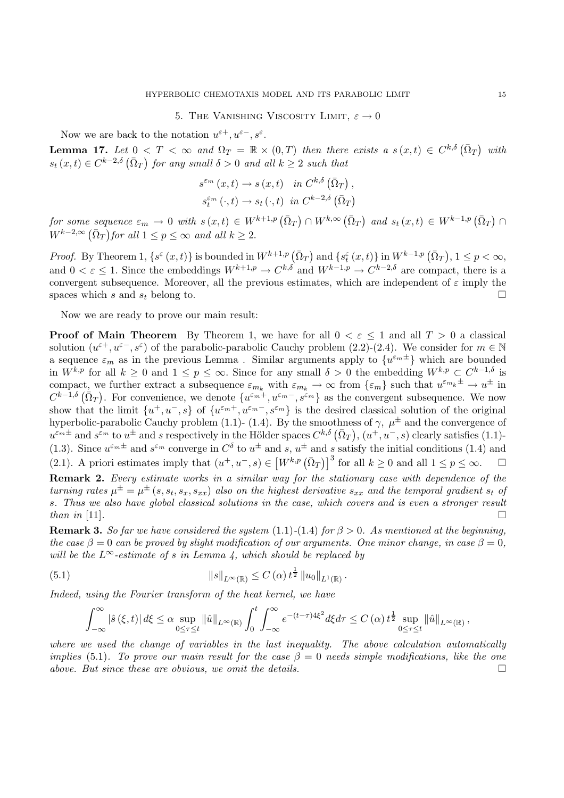## 5. THE VANISHING VISCOSITY LIMIT,  $\varepsilon \to 0$

Now we are back to the notation  $u^{\varepsilon+}, u^{\varepsilon-}, s^{\varepsilon}$ .

**Lemma 17.** Let  $0 < T < \infty$  and  $\Omega_T = \mathbb{R} \times (0,T)$  then there exists a  $s(x,t) \in C^{k,\delta}(\overline{\Omega}_T)$  with  $s_t(x,t) \in C^{k-2,\delta}(\bar{\Omega}_T)$  for any small  $\delta > 0$  and all  $k \geq 2$  such that

$$
s^{\varepsilon_m}(x,t) \to s(x,t) \quad in \; C^{k,\delta}(\bar{\Omega}_T) ,
$$
  

$$
s^{\varepsilon_m}_t(\cdot,t) \to s_t(\cdot,t) \; in \; C^{k-2,\delta}(\bar{\Omega}_T)
$$

 $for \; some \; sequence \; \varepsilon_m \to 0 \; with \; s(x,t) \in W^{k+1,p}(\bar{\Omega}_T) \cap W^{k,\infty}(\bar{\Omega}_T) \; and \; s_t(x,t) \in W^{k-1,p}(\bar{\Omega}_T) \cap W^{k,p}(\bar{\Omega}_T)$  $W^{k-2,\infty}(\bar{\Omega}_T)$  for all  $1 \leq p \leq \infty$  and all  $k \geq 2$ .

*Proof.* By Theorem 1,  $\{s^{\varepsilon}(x,t)\}$  is bounded in  $W^{k+1,p}(\bar{\Omega}_T)$  and  $\{s^{\varepsilon}_t(x,t)\}$  in  $W^{k-1,p}(\bar{\Omega}_T)$ ,  $1 \leq p < \infty$ , and  $0 < \varepsilon < 1$ . Since the embeddings  $W^{k+1,p} \to C^{k,\delta}$  and  $W^{k-1,p} \to C^{k-2,\delta}$  are compact, there is a convergent subsequence. Moreover, all the previous estimates, which are independent of  $\varepsilon$  imply the spaces which s and  $s_t$  belong to.

Now we are ready to prove our main result:

**Proof of Main Theorem** By Theorem 1, we have for all  $0 < \varepsilon \leq 1$  and all  $T > 0$  a classical solution  $(u^{\varepsilon+}, u^{\varepsilon-}, s^{\varepsilon})$  of the parabolic-parabolic Cauchy problem  $(2.2)-(2.4)$ . We consider for  $m \in \mathbb{N}$ a sequence  $\varepsilon_m$  as in the previous Lemma. Similar arguments apply to  $\{u^{\varepsilon_m \pm}\}\$  which are bounded in  $W^{k,p}$  for all  $k \geq 0$  and  $1 \leq p \leq \infty$ . Since for any small  $\delta > 0$  the embedding  $W^{k,p} \subset C^{k-1,\delta}$  is compact, we further extract a subsequence  $\varepsilon_{m_k}$  with  $\varepsilon_{m_k} \to \infty$  from  $\{\varepsilon_m\}$  such that  $u^{\varepsilon_{m_k}\pm} \to u^{\pm}$  in  $C^{k-1,\delta}(\bar{\Omega}_T)$ . For convenience, we denote  $\{u^{\varepsilon_m+}, u^{\varepsilon_m-}, s^{\varepsilon_m}\}$  as the convergent subsequence. We now show that the limit  $\{u^+, u^-, s\}$  of  $\{u^{\varepsilon_m+}, u^{\varepsilon_m-}, s^{\varepsilon_m}\}\$  is the desired classical solution of the original hyperbolic-parabolic Cauchy problem (1.1)- (1.4). By the smoothness of  $\gamma$ ,  $\mu^{\pm}$  and the convergence of  $u^{\varepsilon_m \pm}$  and  $s^{\varepsilon_m}$  to  $u^{\pm}$  and s respectively in the Hölder spaces  $C^{k,\delta}(\bar{\Omega}_T), (u^+, u^-, s)$  clearly satisfies (1.1)-(1.3). Since  $u^{\varepsilon_m \pm}$  and  $s^{\varepsilon_m}$  converge in  $C^{\delta}$  to  $u^{\pm}$  and s,  $u^{\pm}$  and s satisfy the initial conditions (1.4) and (2.1). A priori estimates imply that  $(u^+, u^-, s) \in [W^{k,p}(\bar{\Omega}_T)]^3$  for all  $k \geq 0$  and all  $1 \leq p \leq \infty$ .  $\Box$ **Remark 2.** *Every estimate works in a similar way for the stationary case with dependence of the*

*turning rates*  $\mu^{\pm} = \mu^{\pm} (s, s_t, s_x, s_{xx})$  *also on the highest derivative*  $s_{xx}$  *and the temporal gradient*  $s_t$  *of* s*. Thus we also have global classical solutions in the case, which covers and is even a stronger result than in* [11].

**Remark 3.** *So far we have considered the system* (1.1) $-(1.4)$  *for*  $\beta > 0$ *. As mentioned at the beginning, the case*  $\beta = 0$  *can be proved by slight modification of our arguments. One minor change, in case*  $\beta = 0$ , *will be the*  $L^\infty$ -estimate of s in Lemma 4, which should be replaced by

(5.1) 
$$
||s||_{L^{\infty}(\mathbb{R})} \leq C(\alpha) t^{\frac{1}{2}} ||u_0||_{L^{1}(\mathbb{R})}.
$$

*Indeed, using the Fourier transform of the heat kernel, we have*

$$
\int_{-\infty}^{\infty} |\hat{s}(\xi, t)| d\xi \leq \alpha \sup_{0 \leq \tau \leq t} ||\hat{u}||_{L^{\infty}(\mathbb{R})} \int_{0}^{t} \int_{-\infty}^{\infty} e^{-(t-\tau)4\xi^{2}} d\xi d\tau \leq C(\alpha) t^{\frac{1}{2}} \sup_{0 \leq \tau \leq t} ||\hat{u}||_{L^{\infty}(\mathbb{R})},
$$

*where we used the change of variables in the last inequality. The above calculation automatically implies* (5.1). To prove our main result for the case  $\beta = 0$  needs simple modifications, like the one *above. But since these are obvious, we omit the details.*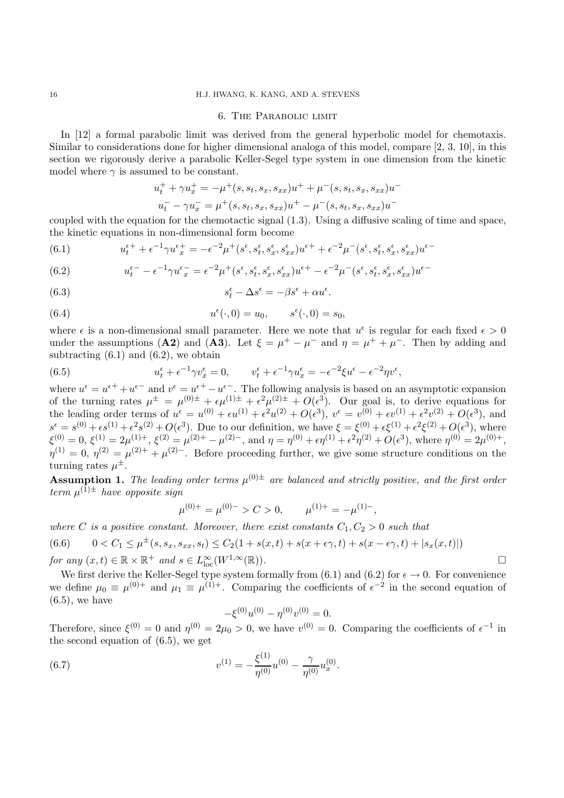## 16 H.J. HWANG, K. KANG, AND A. STEVENS

## 6. The Parabolic limit

In [12] a formal parabolic limit was derived from the general hyperbolic model for chemotaxis. Similar to considerations done for higher dimensional analoga of this model, compare [2, 3, 10], in this section we rigorously derive a parabolic Keller-Segel type system in one dimension from the kinetic model where  $\gamma$  is assumed to be constant.

$$
u_t^+ + \gamma u_x^+ = -\mu^+(s, s_t, s_x, s_{xx})u^+ + \mu^-(s, s_t, s_x, s_{xx})u^-
$$
  

$$
u_t^- - \gamma u_x^- = \mu^+(s, s_t, s_x, s_{xx})u^+ - \mu^-(s, s_t, s_x, s_{xx})u^-
$$

coupled with the equation for the chemotactic signal (1.3). Using a diffusive scaling of time and space, the kinetic equations in non-dimensional form become

(6.1) 
$$
u_t^{\epsilon+} + \epsilon^{-1} \gamma u_x^{\epsilon+} = -\epsilon^{-2} \mu^+(s^\epsilon, s_t^\epsilon, s_x^\epsilon, s_{xx}^\epsilon) u^{\epsilon+} + \epsilon^{-2} \mu^-(s^\epsilon, s_t^\epsilon, s_x^\epsilon, s_{xx}^\epsilon) u^{\epsilon-}
$$

(6.2) 
$$
u_t^{\epsilon-} - \epsilon^{-1} \gamma u_x^{\epsilon-} = \epsilon^{-2} \mu^+(s^{\epsilon}, s_t^{\epsilon}, s_x^{\epsilon}, s_{xx}^{\epsilon}) u^{\epsilon+} - \epsilon^{-2} \mu^-(s^{\epsilon}, s_t^{\epsilon}, s_x^{\epsilon}, s_{xx}^{\epsilon}) u^{\epsilon-}
$$

(6.3) 
$$
s_t^{\epsilon} - \Delta s^{\epsilon} = -\beta s^{\epsilon} + \alpha u^{\epsilon}.
$$

(6.4) 
$$
u^{\epsilon}(\cdot,0) = u_0, \qquad s^{\epsilon}(\cdot,0) = s_0,
$$

where  $\epsilon$  is a non-dimensional small parameter. Here we note that  $u^{\epsilon}$  is regular for each fixed  $\epsilon > 0$ under the assumptions (**A2**) and (**A3**). Let  $\xi = \mu^+ - \mu^-$  and  $\eta = \mu^+ + \mu^-$ . Then by adding and subtracting  $(6.1)$  and  $(6.2)$ , we obtain

(6.5) 
$$
u_t^{\epsilon} + \epsilon^{-1} \gamma v_x^{\epsilon} = 0, \qquad v_t^{\epsilon} + \epsilon^{-1} \gamma u_x^{\epsilon} = -\epsilon^{-2} \xi u^{\epsilon} - \epsilon^{-2} \eta v^{\epsilon},
$$

where  $u^{\epsilon} = u^{\epsilon+} + u^{\epsilon-}$  and  $v^{\epsilon} = u^{\epsilon+} - u^{\epsilon-}$ . The following analysis is based on an asymptotic expansion of the turning rates  $\mu^{\pm} = \mu^{(0)\pm} + \epsilon \mu^{(1)\pm} + \epsilon^2 \mu^{(2)\pm} + O(\epsilon^3)$ . Our goal is, to derive equations for the leading order terms of  $u^{\epsilon} = u^{(0)} + \epsilon u^{(1)} + \epsilon^2 u^{(2)} + O(\epsilon^3)$ ,  $v^{\epsilon} = v^{(0)} + \epsilon v^{(1)} + \epsilon^2 v^{(2)} + O(\epsilon^3)$ , and  $s^{\epsilon} = s^{(0)} + \epsilon s^{(1)} + \epsilon^2 s^{(2)} + O(\epsilon^3)$ . Due to our definition, we have  $\xi = \xi^{(0)} + \epsilon \xi^{(1)} + \epsilon^2 \xi^{(2)} + O(\epsilon^3)$ , where  $\xi^{(0)} = 0$ ,  $\xi^{(1)} = 2\mu^{(1)+}$ ,  $\xi^{(2)} = \mu^{(2)+} - \mu^{(2)-}$ , and  $\eta = \eta^{(0)} + \epsilon \eta^{(1)} + \epsilon^2 \eta^{(2)} + O(\epsilon^3)$ , where  $\eta^{(0)} = 2\mu^{(0)+}$ ,  $\eta^{(1)} = 0$ ,  $\eta^{(2)} = \mu^{(2)+} + \mu^{(2)-}$ . Before proceeding further, we give some structure conditions on the turning rates  $\mu^{\pm}$ .

**Assumption 1.** *The leading order terms*  $\mu^{(0)\pm}$  *are balanced and strictly positive, and the first order term*  $\mu^{(1)\pm}$  *have opposite sign* 

$$
\mu^{(0)+} = \mu^{(0)-} > C > 0, \qquad \mu^{(1)+} = -\mu^{(1)-},
$$

*where* C *is a positive constant. Moreover, there exist constants*  $C_1, C_2 > 0$  *such that* 

(6.6) 
$$
0 < C_1 \leq \mu^{\pm}(s, s_x, s_{xx}, s_t) \leq C_2(1 + s(x, t) + s(x + \epsilon \gamma, t) + s(x - \epsilon \gamma, t) + |s_x(x, t)|)
$$
  
for any  $(x, t) \in \mathbb{R} \times \mathbb{R}^+$  and  $s \in L^{\infty}_{loc}(W^{1, \infty}(\mathbb{R}))$ .

We first derive the Keller-Segel type system formally from  $(6.1)$  and  $(6.2)$  for  $\epsilon \to 0$ . For convenience we define  $\mu_0 \equiv \mu^{(0)+}$  and  $\mu_1 \equiv \mu^{(1)+}$ . Comparing the coefficients of  $\epsilon^{-2}$  in the second equation of  $(6.5)$ , we have

$$
-\xi^{(0)}u^{(0)} - \eta^{(0)}v^{(0)} = 0.
$$

Therefore, since  $\xi^{(0)} = 0$  and  $\eta^{(0)} = 2\mu_0 > 0$ , we have  $v^{(0)} = 0$ . Comparing the coefficients of  $\epsilon^{-1}$  in the second equation of (6.5), we get

(6.7) 
$$
v^{(1)} = -\frac{\xi^{(1)}}{\eta^{(0)}} u^{(0)} - \frac{\gamma}{\eta^{(0)}} u_x^{(0)}.
$$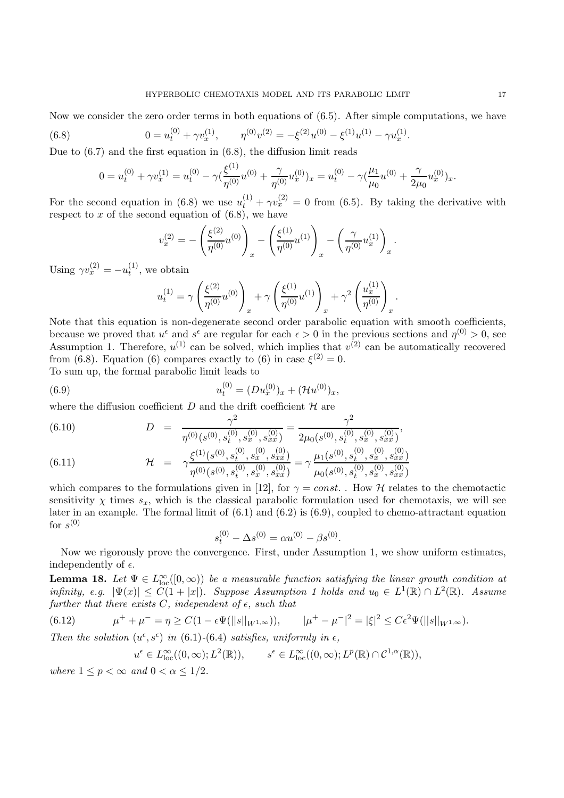Now we consider the zero order terms in both equations of (6.5). After simple computations, we have

(6.8) 
$$
0 = u_t^{(0)} + \gamma v_x^{(1)}, \qquad \eta^{(0)} v^{(2)} = -\xi^{(2)} u^{(0)} - \xi^{(1)} u^{(1)} - \gamma u_x^{(1)}.
$$

Due to  $(6.7)$  and the first equation in  $(6.8)$ , the diffusion limit reads

$$
0 = u_t^{(0)} + \gamma v_x^{(1)} = u_t^{(0)} - \gamma \left(\frac{\xi^{(1)}}{\eta^{(0)}} u^{(0)} + \frac{\gamma}{\eta^{(0)}} u_x^{(0)}\right) x = u_t^{(0)} - \gamma \left(\frac{\mu_1}{\mu_0} u^{(0)} + \frac{\gamma}{2\mu_0} u_x^{(0)}\right) x.
$$

For the second equation in (6.8) we use  $u_t^{(1)} + \gamma v_x^{(2)} = 0$  from (6.5). By taking the derivative with respect to x of the second equation of  $(6.8)$ , we have

$$
v_x^{(2)} = -\left(\frac{\xi^{(2)}}{\eta^{(0)}}u^{(0)}\right)_x - \left(\frac{\xi^{(1)}}{\eta^{(0)}}u^{(1)}\right)_x - \left(\frac{\gamma}{\eta^{(0)}}u_x^{(1)}\right)_x.
$$

Using  $\gamma v_x^{(2)} = -u_t^{(1)}$ , we obtain

$$
u_t^{(1)} = \gamma \left(\frac{\xi^{(2)}}{\eta^{(0)}} u^{(0)}\right)_x + \gamma \left(\frac{\xi^{(1)}}{\eta^{(0)}} u^{(1)}\right)_x + \gamma^2 \left(\frac{u_x^{(1)}}{\eta^{(0)}}\right)_x.
$$

Note that this equation is non-degenerate second order parabolic equation with smooth coefficients, because we proved that  $u^{\epsilon}$  and  $s^{\epsilon}$  are regular for each  $\epsilon > 0$  in the previous sections and  $\eta^{(0)} > 0$ , see Assumption 1. Therefore,  $u^{(1)}$  can be solved, which implies that  $v^{(2)}$  can be automatically recovered from (6.8). Equation (6) compares exactly to (6) in case  $\xi^{(2)} = 0$ . To sum up, the formal parabolic limit leads to

(6.9) 
$$
u_t^{(0)} = (Du_x^{(0)})_x + (\mathcal{H}u^{(0)})_x,
$$

where the diffusion coefficient  $D$  and the drift coefficient  $\mathcal H$  are

(6.10) 
$$
D = \frac{\gamma^2}{\eta^{(0)}(s^{(0)}, s_t^{(0)}, s_x^{(0)}, s_{xx}^{(0)})} = \frac{\gamma^2}{2\mu_0(s^{(0)}, s_t^{(0)}, s_x^{(0)}, s_{xx}^{(0)})},
$$

(6.11) 
$$
\mathcal{H} = \gamma \frac{\xi^{(1)}(s^{(0)}, s_t^{(0)}, s_x^{(0)}, s_{xx}^{(0)})}{\eta^{(0)}(s^{(0)}, s_t^{(0)}, s_x^{(0)}, s_{xx}^{(0)})} = \gamma \frac{\mu_1(s^{(0)}, s_t^{(0)}, s_x^{(0)}, s_{xx}^{(0)})}{\mu_0(s^{(0)}, s_t^{(0)}, s_x^{(0)}, s_{xx}^{(0)})}
$$

which compares to the formulations given in [12], for  $\gamma = const.$  . How H relates to the chemotactic sensitivity  $\chi$  times  $s_x$ , which is the classical parabolic formulation used for chemotaxis, we will see later in an example. The formal limit of (6.1) and (6.2) is (6.9), coupled to chemo-attractant equation for  $s^{(0)}$ 

$$
s_t^{(0)} - \Delta s^{(0)} = \alpha u^{(0)} - \beta s^{(0)}.
$$

Now we rigorously prove the convergence. First, under Assumption 1, we show uniform estimates, independently of  $\epsilon$ .

**Lemma 18.** Let  $\Psi \in L^{\infty}_{loc}([0,\infty))$  be a measurable function satisfying the linear growth condition at *infinity, e.g.*  $|\Psi(x)| \leq C(1+|x|)$ *. Suppose Assumption 1 holds and*  $u_0 \in L^1(\mathbb{R}) \cap L^2(\mathbb{R})$ *. Assume* further that there exists  $C$ , independent of  $\epsilon$ , such that

$$
(6.12) \t\t \mu^+ + \mu^- = \eta \ge C(1 - \epsilon \Psi(||s||_{W^{1,\infty}})), \t |\mu^+ - \mu^-|^2 = |\xi|^2 \le C\epsilon^2 \Psi(||s||_{W^{1,\infty}}).
$$

*Then the solution*  $(u^{\epsilon}, s^{\epsilon})$  *in* (6.1)-(6.4) *satisfies, uniformly in*  $\epsilon$ *,* 

$$
u^{\epsilon} \in L^{\infty}_{\text{loc}}((0,\infty);L^{2}(\mathbb{R})), \qquad s^{\epsilon} \in L^{\infty}_{\text{loc}}((0,\infty);L^{p}(\mathbb{R}) \cap C^{1,\alpha}(\mathbb{R})),
$$

*where*  $1 \leq p < \infty$  *and*  $0 < \alpha \leq 1/2$ *.*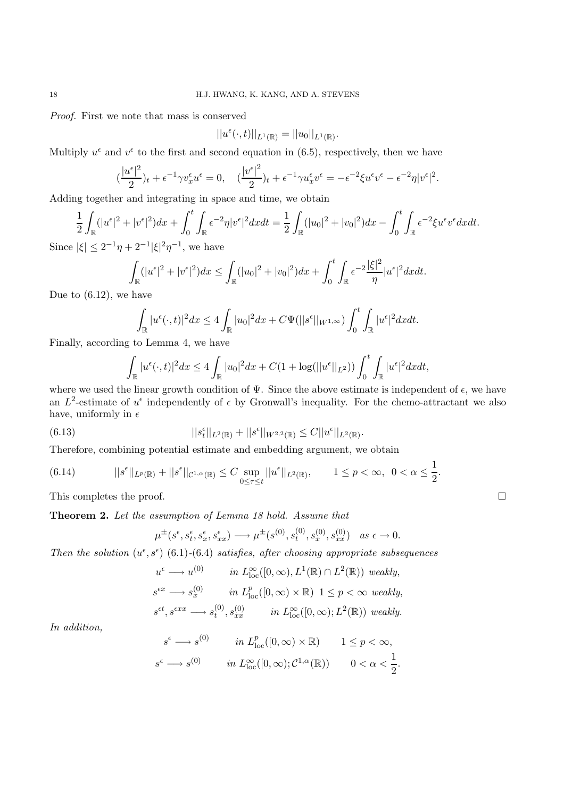*Proof.* First we note that mass is conserved

$$
||u^{\epsilon}(\cdot,t)||_{L^{1}(\mathbb{R})}=||u_{0}||_{L^{1}(\mathbb{R})}.
$$

Multiply  $u^{\epsilon}$  and  $v^{\epsilon}$  to the first and second equation in (6.5), respectively, then we have

$$
(\frac{|u^{\epsilon}|^2}{2})_t + \epsilon^{-1}\gamma v_x^{\epsilon}u^{\epsilon} = 0, \quad (\frac{|v^{\epsilon}|^2}{2})_t + \epsilon^{-1}\gamma u_x^{\epsilon}v^{\epsilon} = -\epsilon^{-2}\xi u^{\epsilon}v^{\epsilon} - \epsilon^{-2}\eta|v^{\epsilon}|^2.
$$

Adding together and integrating in space and time, we obtain

$$
\frac{1}{2} \int_{\mathbb{R}} (|u^{\epsilon}|^{2} + |v^{\epsilon}|^{2}) dx + \int_{0}^{t} \int_{\mathbb{R}} \epsilon^{-2} \eta |v^{\epsilon}|^{2} dx dt = \frac{1}{2} \int_{\mathbb{R}} (|u_{0}|^{2} + |v_{0}|^{2}) dx - \int_{0}^{t} \int_{\mathbb{R}} \epsilon^{-2} \xi u^{\epsilon} v^{\epsilon} dx dt.
$$
  
\n
$$
|\xi| < 2^{-1} \eta + 2^{-1} |\xi|^{2} \eta^{-1} \quad \text{we have}
$$

Since  $|\xi| \leq 2^{-1}\eta + 2^{-1}|\xi|^2 \eta^{-1}$ , we have

$$
\int_{\mathbb{R}} (|u^{\epsilon}|^{2} + |v^{\epsilon}|^{2}) dx \leq \int_{\mathbb{R}} (|u_{0}|^{2} + |v_{0}|^{2}) dx + \int_{0}^{t} \int_{\mathbb{R}} \epsilon^{-2} \frac{|\xi|^{2}}{\eta} |u^{\epsilon}|^{2} dx dt.
$$

Due to (6.12), we have

$$
\int_{\mathbb{R}} |u^{\epsilon}(\cdot,t)|^2 dx \le 4 \int_{\mathbb{R}} |u_0|^2 dx + C\Psi(||s^{\epsilon}||_{W^{1,\infty}}) \int_0^t \int_{\mathbb{R}} |u^{\epsilon}|^2 dx dt.
$$

Finally, according to Lemma 4, we have

$$
\int_{\mathbb{R}} |u^{\epsilon}(\cdot,t)|^2 dx \le 4 \int_{\mathbb{R}} |u_0|^2 dx + C(1 + \log(||u^{\epsilon}||_{L^2})) \int_0^t \int_{\mathbb{R}} |u^{\epsilon}|^2 dx dt,
$$

where we used the linear growth condition of  $\Psi$ . Since the above estimate is independent of  $\epsilon$ , we have an  $L^2$ -estimate of  $u^{\epsilon}$  independently of  $\epsilon$  by Gronwall's inequality. For the chemo-attractant we also have, uniformly in  $\epsilon$ 

(6.13) 
$$
||s_t^{\epsilon}||_{L^2(\mathbb{R})} + ||s^{\epsilon}||_{W^{2,2}(\mathbb{R})} \leq C||u^{\epsilon}||_{L^2(\mathbb{R})}.
$$

Therefore, combining potential estimate and embedding argument, we obtain

(6.14) 
$$
||s^{\epsilon}||_{L^{p}(\mathbb{R})} + ||s^{\epsilon}||_{\mathcal{C}^{1,\alpha}(\mathbb{R})} \leq C \sup_{0 \leq \tau \leq t} ||u^{\epsilon}||_{L^{2}(\mathbb{R})}, \qquad 1 \leq p < \infty, \ \ 0 < \alpha \leq \frac{1}{2}.
$$

This completes the proof.  $\Box$ 

**Theorem 2.** *Let the assumption of Lemma 18 hold. Assume that*

$$
\mu^{\pm}(s^{\epsilon}, s^{\epsilon}_t, s^{\epsilon}_x, s^{\epsilon}_{xx}) \longrightarrow \mu^{\pm}(s^{(0)}, s^{(0)}_t, s^{(0)}_x, s^{(0)}_{xx}) \quad as \epsilon \rightarrow 0.
$$

*Then the solution*  $(u^{\epsilon}, s^{\epsilon})$  (6.1)-(6.4) *satisfies, after choosing appropriate subsequences* 

$$
u^{\epsilon} \longrightarrow u^{(0)} \qquad in \ L_{\text{loc}}^{\infty}([0, \infty), L^{1}(\mathbb{R}) \cap L^{2}(\mathbb{R})) \ weakly,
$$
  
\n
$$
s^{\epsilon x} \longrightarrow s_{x}^{(0)} \qquad in \ L_{\text{loc}}^{p}([0, \infty) \times \mathbb{R}) \ 1 \le p < \infty \ weakly,
$$
  
\n
$$
s^{\epsilon t}, s^{\epsilon xx} \longrightarrow s_{t}^{(0)}, s_{xx}^{(0)} \qquad in \ L_{\text{loc}}^{\infty}([0, \infty); L^{2}(\mathbb{R})) \ weakly.
$$

*In addition,*

$$
s^{\epsilon} \longrightarrow s^{(0)} \qquad in \ L_{\text{loc}}^p([0, \infty) \times \mathbb{R}) \qquad 1 \le p < \infty,
$$
  

$$
s^{\epsilon} \longrightarrow s^{(0)} \qquad in \ L_{\text{loc}}^{\infty}([0, \infty); \mathcal{C}^{1, \alpha}(\mathbb{R})) \qquad 0 < \alpha < \frac{1}{2}.
$$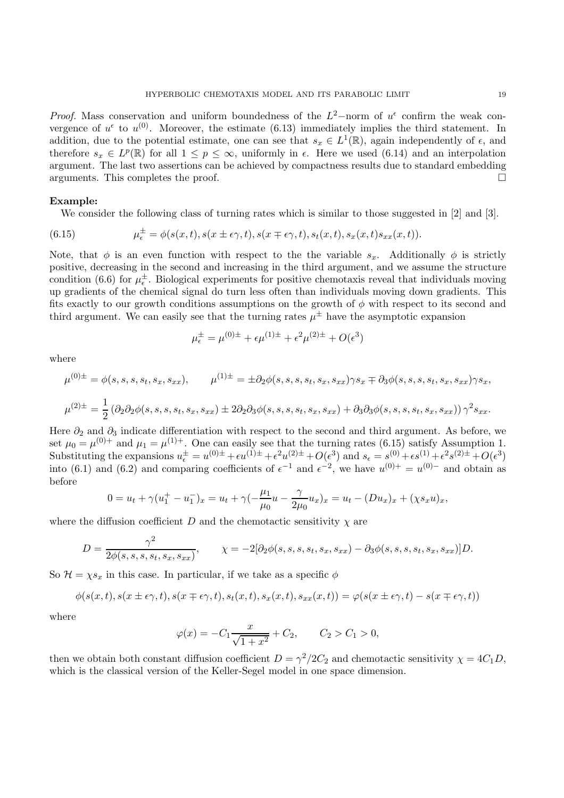*Proof.* Mass conservation and uniform boundedness of the  $L^2$ -norm of  $u^{\epsilon}$  confirm the weak convergence of  $u^{\epsilon}$  to  $u^{(0)}$ . Moreover, the estimate (6.13) immediately implies the third statement. In addition, due to the potential estimate, one can see that  $s_x \in L^1(\mathbb{R})$ , again independently of  $\epsilon$ , and therefore  $s_x \in L^p(\mathbb{R})$  for all  $1 \leq p \leq \infty$ , uniformly in  $\epsilon$ . Here we used (6.14) and an interpolation argument. The last two assertions can be achieved by compactness results due to standard embedding arguments. This completes the proof.

## **Example:**

We consider the following class of turning rates which is similar to those suggested in [2] and [3].

(6.15) 
$$
\mu_{\epsilon}^{\pm} = \phi(s(x,t), s(x \pm \epsilon \gamma, t), s(x \mp \epsilon \gamma, t), s_t(x,t), s_x(x,t)s_{xx}(x,t)).
$$

Note, that  $\phi$  is an even function with respect to the the variable  $s_x$ . Additionally  $\phi$  is strictly positive, decreasing in the second and increasing in the third argument, and we assume the structure condition (6.6) for  $\mu_{\epsilon}^{\pm}$ . Biological experiments for positive chemotaxis reveal that individuals moving up gradients of the chemical signal do turn less often than individuals moving down gradients. This fits exactly to our growth conditions assumptions on the growth of  $\phi$  with respect to its second and third argument. We can easily see that the turning rates  $\mu^{\pm}$  have the asymptotic expansion

$$
\mu_{\epsilon}^{\pm} = \mu^{(0)\pm} + \epsilon \mu^{(1)\pm} + \epsilon^2 \mu^{(2)\pm} + O(\epsilon^3)
$$

where

$$
\mu^{(0)\pm} = \phi(s, s, s, s_t, s_x, s_{xx}), \qquad \mu^{(1)\pm} = \pm \partial_2 \phi(s, s, s, s_t, s_x, s_{xx}) \gamma s_x \mp \partial_3 \phi(s, s, s, s_t, s_x, s_{xx}) \gamma s_x,
$$
  

$$
\mu^{(2)\pm} = \frac{1}{2} (\partial_2 \partial_2 \phi(s, s, s, s_t, s_x, s_{xx}) \pm 2 \partial_2 \partial_3 \phi(s, s, s, s_t, s_x, s_{xx}) + \partial_3 \partial_3 \phi(s, s, s, s_t, s_x, s_{xx})) \gamma^2 s_{xx}.
$$

Here  $\partial_2$  and  $\partial_3$  indicate differentiation with respect to the second and third argument. As before, we set  $\mu_0 = \mu^{(0)+}$  and  $\mu_1 = \mu^{(1)+}$ . One can easily see that the turning rates (6.15) satisfy Assumption 1. Substituting the expansions  $u_{\epsilon}^{\pm} = u^{(0)\pm} + \epsilon u^{(1)\pm} + \epsilon^2 u^{(2)\pm} + O(\epsilon^3)$  and  $s_{\epsilon} = s^{(0)} + \epsilon s^{(1)} + \epsilon^2 s^{(2)\pm} + O(\epsilon^3)$ into (6.1) and (6.2) and comparing coefficients of  $\epsilon^{-1}$  and  $\epsilon^{-2}$ , we have  $u^{(0)+} = u^{(0)-}$  and obtain as before

$$
0 = u_t + \gamma (u_1^+ - u_1^-)_x = u_t + \gamma (-\frac{\mu_1}{\mu_0}u - \frac{\gamma}{2\mu_0}u_x)_x = u_t - (Du_x)_x + (\chi s_x u)_x,
$$

where the diffusion coefficient D and the chemotactic sensitivity  $\chi$  are

$$
D = \frac{\gamma^2}{2\phi(s, s, s, s_t, s_x, s_{xx})}, \qquad \chi = -2[\partial_2\phi(s, s, s, s_t, s_x, s_{xx}) - \partial_3\phi(s, s, s, s_t, s_x, s_{xx})]D.
$$

So  $\mathcal{H} = \chi s_x$  in this case. In particular, if we take as a specific  $\phi$ 

$$
\phi(s(x,t),s(x \pm \epsilon \gamma,t),s(x \mp \epsilon \gamma,t),s_t(x,t),s_x(x,t),s_{xx}(x,t)) = \varphi(s(x \pm \epsilon \gamma,t) - s(x \mp \epsilon \gamma,t))
$$

where

$$
\varphi(x) = -C_1 \frac{x}{\sqrt{1+x^2}} + C_2, \qquad C_2 > C_1 > 0,
$$

then we obtain both constant diffusion coefficient  $D = \gamma^2/2C_2$  and chemotactic sensitivity  $\chi = 4C_1D$ , which is the classical version of the Keller-Segel model in one space dimension.